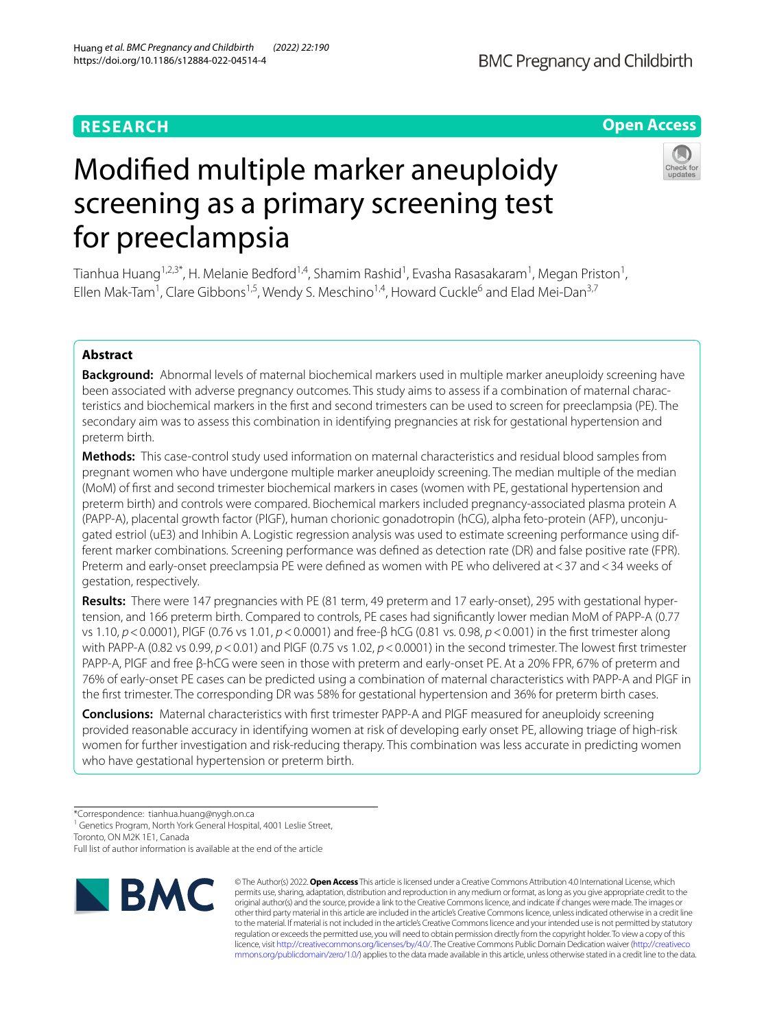# **RESEARCH**

# **Open Access**

# Modifed multiple marker aneuploidy screening as a primary screening test for preeclampsia

Tianhua Huang $^{1,2,3^*}$ , H. Melanie Bedford $^{1,4}$ , Shamim Rashid $^1$ , Evasha Rasasakaram $^1$ , Megan Priston $^1$ , Ellen Mak-Tam<sup>1</sup>, Clare Gibbons<sup>1,5</sup>, Wendy S. Meschino<sup>1,4</sup>, Howard Cuckle<sup>6</sup> and Elad Mei-Dan<sup>3,7</sup>

## **Abstract**

**Background:** Abnormal levels of maternal biochemical markers used in multiple marker aneuploidy screening have been associated with adverse pregnancy outcomes. This study aims to assess if a combination of maternal characteristics and biochemical markers in the frst and second trimesters can be used to screen for preeclampsia (PE). The secondary aim was to assess this combination in identifying pregnancies at risk for gestational hypertension and preterm birth.

**Methods:** This case-control study used information on maternal characteristics and residual blood samples from pregnant women who have undergone multiple marker aneuploidy screening. The median multiple of the median (MoM) of frst and second trimester biochemical markers in cases (women with PE, gestational hypertension and preterm birth) and controls were compared. Biochemical markers included pregnancy-associated plasma protein A (PAPP-A), placental growth factor (PlGF), human chorionic gonadotropin (hCG), alpha feto-protein (AFP), unconju‑ gated estriol (uE3) and Inhibin A. Logistic regression analysis was used to estimate screening performance using different marker combinations. Screening performance was defned as detection rate (DR) and false positive rate (FPR). Preterm and early-onset preeclampsia PE were defined as women with PE who delivered at <37 and <34 weeks of gestation, respectively.

**Results:** There were 147 pregnancies with PE (81 term, 49 preterm and 17 early-onset), 295 with gestational hyper‑ tension, and 166 preterm birth. Compared to controls, PE cases had signifcantly lower median MoM of PAPP-A (0.77 vs 1.10, *p*<0.0001), PlGF (0.76 vs 1.01, *p*<0.0001) and free-β hCG (0.81 vs. 0.98, *p*<0.001) in the frst trimester along with PAPP-A (0.82 vs 0.99, *p*<0.01) and PlGF (0.75 vs 1.02, *p*<0.0001) in the second trimester. The lowest frst trimester PAPP-A, PlGF and free β-hCG were seen in those with preterm and early-onset PE. At a 20% FPR, 67% of preterm and 76% of early-onset PE cases can be predicted using a combination of maternal characteristics with PAPP-A and PlGF in the frst trimester. The corresponding DR was 58% for gestational hypertension and 36% for preterm birth cases.

**Conclusions:** Maternal characteristics with frst trimester PAPP-A and PlGF measured for aneuploidy screening provided reasonable accuracy in identifying women at risk of developing early onset PE, allowing triage of high-risk women for further investigation and risk-reducing therapy. This combination was less accurate in predicting women who have gestational hypertension or preterm birth.

<sup>1</sup> Genetics Program, North York General Hospital, 4001 Leslie Street,

Toronto, ON M2K 1E1, Canada

Full list of author information is available at the end of the article



© The Author(s) 2022. **Open Access** This article is licensed under a Creative Commons Attribution 4.0 International License, which permits use, sharing, adaptation, distribution and reproduction in any medium or format, as long as you give appropriate credit to the original author(s) and the source, provide a link to the Creative Commons licence, and indicate if changes were made. The images or other third party material in this article are included in the article's Creative Commons licence, unless indicated otherwise in a credit line to the material. If material is not included in the article's Creative Commons licence and your intended use is not permitted by statutory regulation or exceeds the permitted use, you will need to obtain permission directly from the copyright holder. To view a copy of this licence, visit [http://creativecommons.org/licenses/by/4.0/.](http://creativecommons.org/licenses/by/4.0/) The Creative Commons Public Domain Dedication waiver ([http://creativeco](http://creativecommons.org/publicdomain/zero/1.0/) [mmons.org/publicdomain/zero/1.0/](http://creativecommons.org/publicdomain/zero/1.0/)) applies to the data made available in this article, unless otherwise stated in a credit line to the data.

<sup>\*</sup>Correspondence: tianhua.huang@nygh.on.ca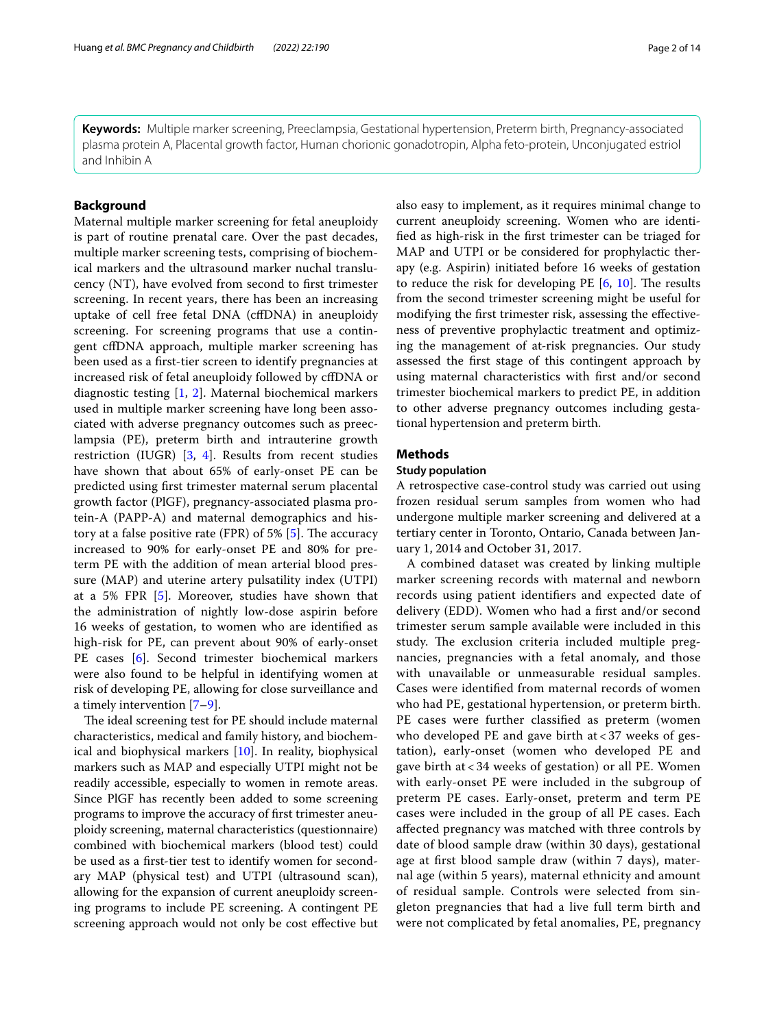**Keywords:** Multiple marker screening, Preeclampsia, Gestational hypertension, Preterm birth, Pregnancy-associated plasma protein A, Placental growth factor, Human chorionic gonadotropin, Alpha feto-protein, Unconjugated estriol and Inhibin A

### **Background**

Maternal multiple marker screening for fetal aneuploidy is part of routine prenatal care. Over the past decades, multiple marker screening tests, comprising of biochemical markers and the ultrasound marker nuchal translucency (NT), have evolved from second to frst trimester screening. In recent years, there has been an increasing uptake of cell free fetal DNA (cfDNA) in aneuploidy screening. For screening programs that use a contingent cfDNA approach, multiple marker screening has been used as a frst-tier screen to identify pregnancies at increased risk of fetal aneuploidy followed by cfDNA or diagnostic testing [\[1](#page-12-0), [2\]](#page-12-1). Maternal biochemical markers used in multiple marker screening have long been associated with adverse pregnancy outcomes such as preeclampsia (PE), preterm birth and intrauterine growth restriction (IUGR) [[3,](#page-12-2) [4\]](#page-12-3). Results from recent studies have shown that about 65% of early-onset PE can be predicted using frst trimester maternal serum placental growth factor (PlGF), pregnancy-associated plasma protein-A (PAPP-A) and maternal demographics and history at a false positive rate (FPR) of 5%  $[5]$  $[5]$ . The accuracy increased to 90% for early-onset PE and 80% for preterm PE with the addition of mean arterial blood pressure (MAP) and uterine artery pulsatility index (UTPI) at a 5% FPR [\[5](#page-12-4)]. Moreover, studies have shown that the administration of nightly low-dose aspirin before 16 weeks of gestation, to women who are identifed as high-risk for PE, can prevent about 90% of early-onset PE cases [\[6](#page-12-5)]. Second trimester biochemical markers were also found to be helpful in identifying women at risk of developing PE, allowing for close surveillance and a timely intervention [\[7](#page-12-6)[–9](#page-12-7)].

The ideal screening test for PE should include maternal characteristics, medical and family history, and biochemical and biophysical markers [[10](#page-12-8)]. In reality, biophysical markers such as MAP and especially UTPI might not be readily accessible, especially to women in remote areas. Since PlGF has recently been added to some screening programs to improve the accuracy of frst trimester aneuploidy screening, maternal characteristics (questionnaire) combined with biochemical markers (blood test) could be used as a frst-tier test to identify women for secondary MAP (physical test) and UTPI (ultrasound scan), allowing for the expansion of current aneuploidy screening programs to include PE screening. A contingent PE screening approach would not only be cost efective but also easy to implement, as it requires minimal change to current aneuploidy screening. Women who are identifed as high-risk in the frst trimester can be triaged for MAP and UTPI or be considered for prophylactic therapy (e.g. Aspirin) initiated before 16 weeks of gestation to reduce the risk for developing PE  $[6, 10]$  $[6, 10]$  $[6, 10]$ . The results from the second trimester screening might be useful for modifying the frst trimester risk, assessing the efectiveness of preventive prophylactic treatment and optimizing the management of at-risk pregnancies. Our study assessed the frst stage of this contingent approach by using maternal characteristics with frst and/or second trimester biochemical markers to predict PE, in addition to other adverse pregnancy outcomes including gestational hypertension and preterm birth.

#### **Methods**

#### **Study population**

A retrospective case-control study was carried out using frozen residual serum samples from women who had undergone multiple marker screening and delivered at a tertiary center in Toronto, Ontario, Canada between January 1, 2014 and October 31, 2017.

A combined dataset was created by linking multiple marker screening records with maternal and newborn records using patient identifers and expected date of delivery (EDD). Women who had a frst and/or second trimester serum sample available were included in this study. The exclusion criteria included multiple pregnancies, pregnancies with a fetal anomaly, and those with unavailable or unmeasurable residual samples. Cases were identifed from maternal records of women who had PE, gestational hypertension, or preterm birth. PE cases were further classifed as preterm (women who developed PE and gave birth at  $<$  37 weeks of gestation), early-onset (women who developed PE and gave birth at < 34 weeks of gestation) or all PE. Women with early-onset PE were included in the subgroup of preterm PE cases. Early-onset, preterm and term PE cases were included in the group of all PE cases. Each afected pregnancy was matched with three controls by date of blood sample draw (within 30 days), gestational age at frst blood sample draw (within 7 days), maternal age (within 5 years), maternal ethnicity and amount of residual sample. Controls were selected from singleton pregnancies that had a live full term birth and were not complicated by fetal anomalies, PE, pregnancy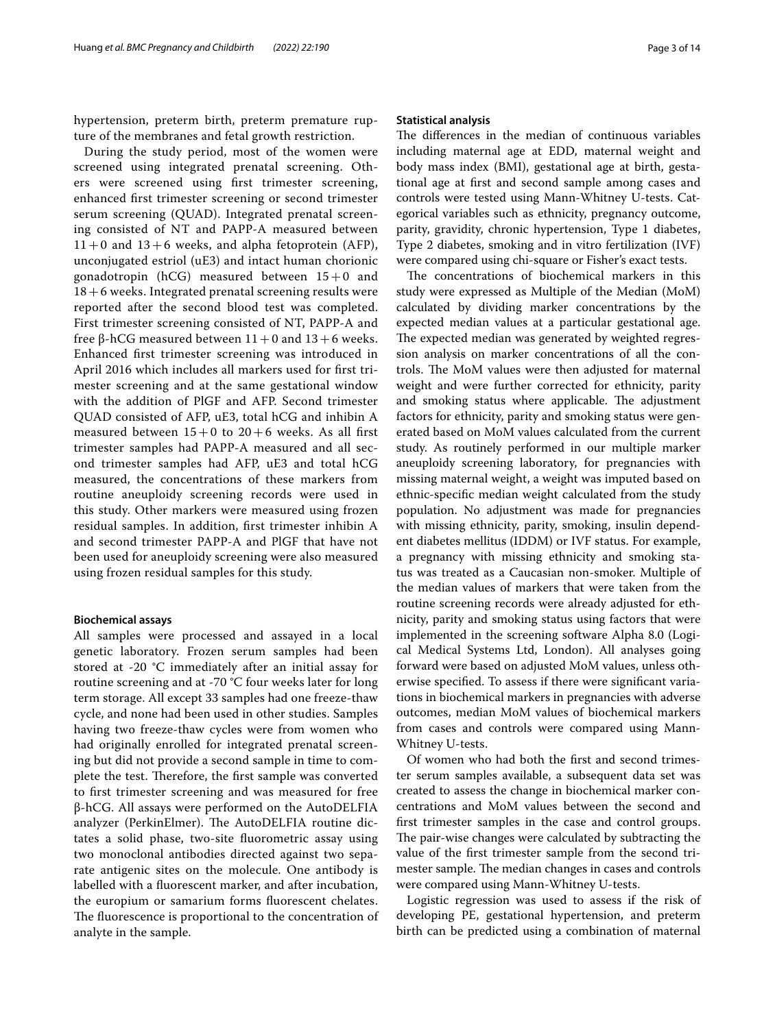hypertension, preterm birth, preterm premature rupture of the membranes and fetal growth restriction.

During the study period, most of the women were screened using integrated prenatal screening. Others were screened using frst trimester screening, enhanced frst trimester screening or second trimester serum screening (QUAD). Integrated prenatal screening consisted of NT and PAPP-A measured between  $11+0$  and  $13+6$  weeks, and alpha fetoprotein (AFP), unconjugated estriol (uE3) and intact human chorionic gonadotropin (hCG) measured between  $15+0$  and  $18+6$  weeks. Integrated prenatal screening results were reported after the second blood test was completed. First trimester screening consisted of NT, PAPP-A and free β-hCG measured between  $11+0$  and  $13+6$  weeks. Enhanced frst trimester screening was introduced in April 2016 which includes all markers used for frst trimester screening and at the same gestational window with the addition of PlGF and AFP. Second trimester QUAD consisted of AFP, uE3, total hCG and inhibin A measured between  $15+0$  to  $20+6$  weeks. As all first trimester samples had PAPP-A measured and all second trimester samples had AFP, uE3 and total hCG measured, the concentrations of these markers from routine aneuploidy screening records were used in this study. Other markers were measured using frozen residual samples. In addition, frst trimester inhibin A and second trimester PAPP-A and PlGF that have not been used for aneuploidy screening were also measured using frozen residual samples for this study.

#### **Biochemical assays**

All samples were processed and assayed in a local genetic laboratory. Frozen serum samples had been stored at -20 °C immediately after an initial assay for routine screening and at -70 °C four weeks later for long term storage. All except 33 samples had one freeze-thaw cycle, and none had been used in other studies. Samples having two freeze-thaw cycles were from women who had originally enrolled for integrated prenatal screening but did not provide a second sample in time to complete the test. Therefore, the first sample was converted to frst trimester screening and was measured for free β-hCG. All assays were performed on the AutoDELFIA analyzer (PerkinElmer). The AutoDELFIA routine dictates a solid phase, two-site fuorometric assay using two monoclonal antibodies directed against two separate antigenic sites on the molecule. One antibody is labelled with a fuorescent marker, and after incubation, the europium or samarium forms fuorescent chelates. The fluorescence is proportional to the concentration of analyte in the sample.

#### **Statistical analysis**

The differences in the median of continuous variables including maternal age at EDD, maternal weight and body mass index (BMI), gestational age at birth, gestational age at frst and second sample among cases and controls were tested using Mann-Whitney U-tests. Categorical variables such as ethnicity, pregnancy outcome, parity, gravidity, chronic hypertension, Type 1 diabetes, Type 2 diabetes, smoking and in vitro fertilization (IVF) were compared using chi-square or Fisher's exact tests.

The concentrations of biochemical markers in this study were expressed as Multiple of the Median (MoM) calculated by dividing marker concentrations by the expected median values at a particular gestational age. The expected median was generated by weighted regression analysis on marker concentrations of all the controls. The MoM values were then adjusted for maternal weight and were further corrected for ethnicity, parity and smoking status where applicable. The adjustment factors for ethnicity, parity and smoking status were generated based on MoM values calculated from the current study. As routinely performed in our multiple marker aneuploidy screening laboratory, for pregnancies with missing maternal weight, a weight was imputed based on ethnic-specifc median weight calculated from the study population. No adjustment was made for pregnancies with missing ethnicity, parity, smoking, insulin dependent diabetes mellitus (IDDM) or IVF status. For example, a pregnancy with missing ethnicity and smoking status was treated as a Caucasian non-smoker. Multiple of the median values of markers that were taken from the routine screening records were already adjusted for ethnicity, parity and smoking status using factors that were implemented in the screening software Alpha 8.0 (Logical Medical Systems Ltd, London). All analyses going forward were based on adjusted MoM values, unless otherwise specifed. To assess if there were signifcant variations in biochemical markers in pregnancies with adverse outcomes, median MoM values of biochemical markers from cases and controls were compared using Mann-Whitney U-tests.

Of women who had both the frst and second trimester serum samples available, a subsequent data set was created to assess the change in biochemical marker concentrations and MoM values between the second and frst trimester samples in the case and control groups. The pair-wise changes were calculated by subtracting the value of the frst trimester sample from the second trimester sample. The median changes in cases and controls were compared using Mann-Whitney U-tests.

Logistic regression was used to assess if the risk of developing PE, gestational hypertension, and preterm birth can be predicted using a combination of maternal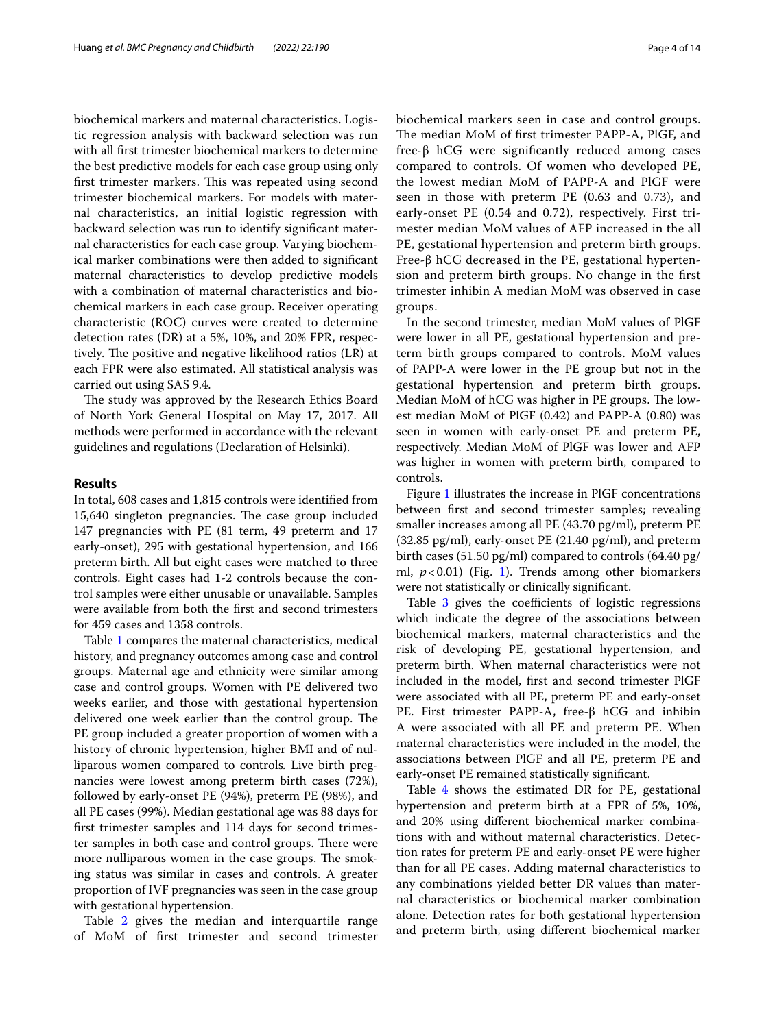biochemical markers and maternal characteristics. Logistic regression analysis with backward selection was run with all frst trimester biochemical markers to determine the best predictive models for each case group using only first trimester markers. This was repeated using second trimester biochemical markers. For models with maternal characteristics, an initial logistic regression with backward selection was run to identify signifcant maternal characteristics for each case group. Varying biochemical marker combinations were then added to signifcant maternal characteristics to develop predictive models with a combination of maternal characteristics and biochemical markers in each case group. Receiver operating characteristic (ROC) curves were created to determine detection rates (DR) at a 5%, 10%, and 20% FPR, respectively. The positive and negative likelihood ratios (LR) at each FPR were also estimated. All statistical analysis was carried out using SAS 9.4.

The study was approved by the Research Ethics Board of North York General Hospital on May 17, 2017. All methods were performed in accordance with the relevant guidelines and regulations (Declaration of Helsinki).

#### **Results**

In total, 608 cases and 1,815 controls were identifed from 15,640 singleton pregnancies. The case group included 147 pregnancies with PE (81 term, 49 preterm and 17 early-onset), 295 with gestational hypertension, and 166 preterm birth. All but eight cases were matched to three controls. Eight cases had 1-2 controls because the control samples were either unusable or unavailable. Samples were available from both the frst and second trimesters for 459 cases and 1358 controls.

Table [1](#page-4-0) compares the maternal characteristics, medical history, and pregnancy outcomes among case and control groups. Maternal age and ethnicity were similar among case and control groups. Women with PE delivered two weeks earlier, and those with gestational hypertension delivered one week earlier than the control group. The PE group included a greater proportion of women with a history of chronic hypertension, higher BMI and of nulliparous women compared to controls*.* Live birth pregnancies were lowest among preterm birth cases (72%), followed by early-onset PE (94%), preterm PE (98%), and all PE cases (99%). Median gestational age was 88 days for frst trimester samples and 114 days for second trimester samples in both case and control groups. There were more nulliparous women in the case groups. The smoking status was similar in cases and controls. A greater proportion of IVF pregnancies was seen in the case group with gestational hypertension.

Table [2](#page-5-0) gives the median and interquartile range of MoM of frst trimester and second trimester biochemical markers seen in case and control groups. The median MoM of first trimester PAPP-A, PlGF, and free-β hCG were signifcantly reduced among cases compared to controls. Of women who developed PE, the lowest median MoM of PAPP-A and PlGF were seen in those with preterm PE (0.63 and 0.73), and early-onset PE (0.54 and 0.72), respectively. First trimester median MoM values of AFP increased in the all PE, gestational hypertension and preterm birth groups. Free-β hCG decreased in the PE, gestational hypertension and preterm birth groups. No change in the frst trimester inhibin A median MoM was observed in case groups.

In the second trimester, median MoM values of PlGF were lower in all PE, gestational hypertension and preterm birth groups compared to controls. MoM values of PAPP-A were lower in the PE group but not in the gestational hypertension and preterm birth groups. Median MoM of hCG was higher in PE groups. The lowest median MoM of PlGF (0.42) and PAPP-A (0.80) was seen in women with early-onset PE and preterm PE, respectively. Median MoM of PlGF was lower and AFP was higher in women with preterm birth, compared to controls.

Figure [1](#page-6-0) illustrates the increase in PlGF concentrations between frst and second trimester samples; revealing smaller increases among all PE (43.70 pg/ml), preterm PE (32.85 pg/ml), early-onset PE (21.40 pg/ml), and preterm birth cases (51.50 pg/ml) compared to controls (64.40 pg/ ml,  $p < 0.01$ ) (Fig. [1\)](#page-6-0). Trends among other biomarkers were not statistically or clinically signifcant.

Table  $3$  gives the coefficients of logistic regressions which indicate the degree of the associations between biochemical markers, maternal characteristics and the risk of developing PE, gestational hypertension, and preterm birth. When maternal characteristics were not included in the model, frst and second trimester PlGF were associated with all PE, preterm PE and early-onset PE. First trimester PAPP-A, free-β hCG and inhibin A were associated with all PE and preterm PE. When maternal characteristics were included in the model, the associations between PlGF and all PE, preterm PE and early-onset PE remained statistically signifcant.

Table [4](#page-8-0) shows the estimated DR for PE, gestational hypertension and preterm birth at a FPR of 5%, 10%, and 20% using diferent biochemical marker combinations with and without maternal characteristics. Detection rates for preterm PE and early-onset PE were higher than for all PE cases. Adding maternal characteristics to any combinations yielded better DR values than maternal characteristics or biochemical marker combination alone. Detection rates for both gestational hypertension and preterm birth, using diferent biochemical marker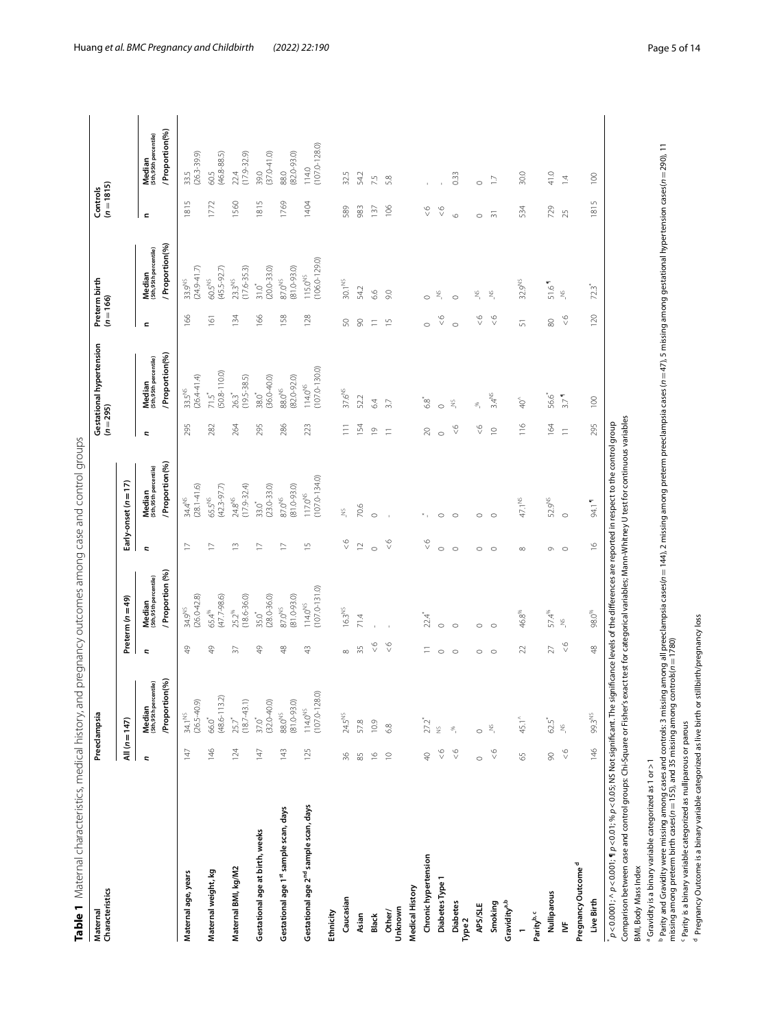<span id="page-4-0"></span>

|   | Ò                                                                                                                                                                                                                                   |                          |
|---|-------------------------------------------------------------------------------------------------------------------------------------------------------------------------------------------------------------------------------------|--------------------------|
|   | i                                                                                                                                                                                                                                   | ֖֖֚֚֚֚֚֡֬֝               |
|   |                                                                                                                                                                                                                                     |                          |
|   |                                                                                                                                                                                                                                     |                          |
|   |                                                                                                                                                                                                                                     |                          |
|   |                                                                                                                                                                                                                                     |                          |
|   |                                                                                                                                                                                                                                     |                          |
|   |                                                                                                                                                                                                                                     |                          |
|   |                                                                                                                                                                                                                                     |                          |
|   |                                                                                                                                                                                                                                     |                          |
|   |                                                                                                                                                                                                                                     |                          |
|   |                                                                                                                                                                                                                                     |                          |
|   | )<br>}<br>;                                                                                                                                                                                                                         |                          |
|   |                                                                                                                                                                                                                                     |                          |
|   |                                                                                                                                                                                                                                     |                          |
|   |                                                                                                                                                                                                                                     | $\overline{\phantom{a}}$ |
|   | ׇׇ֦֡֡                                                                                                                                                                                                                               |                          |
|   |                                                                                                                                                                                                                                     |                          |
|   |                                                                                                                                                                                                                                     |                          |
|   |                                                                                                                                                                                                                                     |                          |
|   |                                                                                                                                                                                                                                     |                          |
|   |                                                                                                                                                                                                                                     |                          |
|   |                                                                                                                                                                                                                                     |                          |
|   |                                                                                                                                                                                                                                     |                          |
|   |                                                                                                                                                                                                                                     |                          |
|   |                                                                                                                                                                                                                                     |                          |
|   |                                                                                                                                                                                                                                     |                          |
|   |                                                                                                                                                                                                                                     |                          |
|   |                                                                                                                                                                                                                                     |                          |
|   |                                                                                                                                                                                                                                     |                          |
|   |                                                                                                                                                                                                                                     |                          |
|   |                                                                                                                                                                                                                                     |                          |
|   |                                                                                                                                                                                                                                     |                          |
|   |                                                                                                                                                                                                                                     |                          |
|   | ĵ                                                                                                                                                                                                                                   |                          |
|   | i                                                                                                                                                                                                                                   |                          |
|   |                                                                                                                                                                                                                                     |                          |
|   |                                                                                                                                                                                                                                     |                          |
|   |                                                                                                                                                                                                                                     |                          |
|   |                                                                                                                                                                                                                                     |                          |
|   |                                                                                                                                                                                                                                     |                          |
|   |                                                                                                                                                                                                                                     |                          |
|   |                                                                                                                                                                                                                                     |                          |
|   |                                                                                                                                                                                                                                     |                          |
|   |                                                                                                                                                                                                                                     |                          |
|   | 5                                                                                                                                                                                                                                   |                          |
|   |                                                                                                                                                                                                                                     |                          |
|   | with a service in the service service in the service in the service in the service in the service in the service in the service in the service in the service in the service in the service in the service in the service in t<br>l |                          |
|   |                                                                                                                                                                                                                                     |                          |
|   |                                                                                                                                                                                                                                     |                          |
|   | $\frac{1}{2}$                                                                                                                                                                                                                       |                          |
|   | Ĵ                                                                                                                                                                                                                                   |                          |
|   |                                                                                                                                                                                                                                     |                          |
|   |                                                                                                                                                                                                                                     |                          |
|   |                                                                                                                                                                                                                                     |                          |
|   |                                                                                                                                                                                                                                     |                          |
|   |                                                                                                                                                                                                                                     |                          |
|   | ies oo soo di                                                                                                                                                                                                                       |                          |
|   |                                                                                                                                                                                                                                     |                          |
|   | ī                                                                                                                                                                                                                                   |                          |
|   |                                                                                                                                                                                                                                     |                          |
|   |                                                                                                                                                                                                                                     |                          |
|   |                                                                                                                                                                                                                                     |                          |
|   | i                                                                                                                                                                                                                                   |                          |
|   |                                                                                                                                                                                                                                     |                          |
|   |                                                                                                                                                                                                                                     |                          |
|   |                                                                                                                                                                                                                                     |                          |
|   | נ<br>ו<br>ו<br>i<br>S                                                                                                                                                                                                               |                          |
|   | l.<br>j                                                                                                                                                                                                                             |                          |
|   | j                                                                                                                                                                                                                                   |                          |
|   |                                                                                                                                                                                                                                     |                          |
|   | $\Lambda \sim + \sim \infty$                                                                                                                                                                                                        |                          |
|   |                                                                                                                                                                                                                                     |                          |
| j | Ē                                                                                                                                                                                                                                   |                          |
|   |                                                                                                                                                                                                                                     |                          |
|   |                                                                                                                                                                                                                                     |                          |
|   | T<br>ale                                                                                                                                                                                                                            |                          |

| Maternal<br>Characteristics                                                                                                                                                                                                      |               | Preeclampsia                                      |                 |                                                   |                |                                                           | $(n=295)$      | Gestational hypertension                          | $(n = 166)$    | Preterm birth                                    | $(n = 1815)$<br>Controls |                                                    |
|----------------------------------------------------------------------------------------------------------------------------------------------------------------------------------------------------------------------------------|---------------|---------------------------------------------------|-----------------|---------------------------------------------------|----------------|-----------------------------------------------------------|----------------|---------------------------------------------------|----------------|--------------------------------------------------|--------------------------|----------------------------------------------------|
|                                                                                                                                                                                                                                  |               | All $(n = 147)$                                   |                 | Preterm $(n=49)$                                  |                | Early-onset (n = 17)                                      |                |                                                   |                |                                                  |                          |                                                    |
|                                                                                                                                                                                                                                  | r,            | /Proportion(%)<br>Median<br>(5th,95th percentile) | c               | Proportion (%)<br>Median<br>(5th,95th percentile) | r.             | / Proportion(%)<br><b>Median</b><br>(Sth,95th percentile) | $\overline{a}$ | /Proportion(%)<br>Median<br>(5th,95th percentile) | $\epsilon$     | Proportion(%)<br>Median<br>(5th,95th percentile) | $\blacksquare$           | / Proportion(%)<br>Median<br>(Sth,95th percentile) |
| Maternal age, years                                                                                                                                                                                                              | 147           | $(26.5 - 40.9)$<br>34.1 <sup>NS</sup>             | $\frac{1}{2}$   | $(26.0 - 42.8)$<br>34.9NS                         | $\geq$         | $(28.1 - 41.6)$<br>34.4 <sup>NS</sup>                     | 295            | $(26.4 - 41.4)$<br>$33.5^{NS}$                    | 166            | $(24.9 - 41.7)$<br>33.9NS                        | 1815                     | $(26.3 - 39.9)$<br>33.5                            |
| Maternal weight, kg                                                                                                                                                                                                              | 146           | $(48.6 - 113.2)$<br>66.0                          | $^{49}$         | $(47.7 - 98.6)$<br>65.4%                          | $\geq$         | $(42.3 - 97.7)$<br>65.5 <sup>NS</sup>                     | 282            | $71.5^*$<br>(50.8-110.0)                          | 161            | $(45.5 - 92.7)$<br>$60.5^{NS}$                   | 1772                     | 60.5<br>(46.8-88.5)                                |
| Maternal BMI, kg/M2                                                                                                                                                                                                              | 124           | $(18.7 - 43.1)$<br>25.7                           | $\overline{37}$ | $(18.6 - 36.0)$<br>25.2%                          | $\tilde{=}$    | $(17.9 - 32.4)$<br>24.8NS                                 | 264            | $(19.5 - 38.5)$<br>26.3                           | 134            | $(17.6 - 35.3)$<br>23.3 <sup>NS</sup>            | 1560                     | 22.4<br>(17.9-32.9)                                |
| Gestational age at birth, weeks                                                                                                                                                                                                  | 147           | $(32.0 - 40.0)$<br>37.0                           | $^{49}$         | $(28.0 - 36.0)$<br>35.0 <sup>*</sup>              | $\geq$         | $(23.0 - 33.0)$<br>$33.0$ <sup>*</sup>                    | 295            | $(36.0 - 40.0)$<br>38.0 <sup>*</sup>              | 166            | $(20.0 - 33.0)$<br>$31.0$ <sup>*</sup>           | 1815                     | $(37.0 - 41.0)$<br>39.0                            |
| Gestational age 1st sample scan, days                                                                                                                                                                                            | 143           | $(81.0 - 93.0)$<br>88.0 <sup>NS</sup>             | $48$            | $(81.0 - 93.0)$<br>87.0 <sup>NS</sup>             | $\overline{1}$ | $(81.0 - 93.0)$<br>87.0 <sup>NS</sup>                     | 286            | $(82.0 - 92.0)$<br>88.0 <sup>NS</sup>             | 158            | $(81.0 - 93.0)$<br>87.0 <sup>NS</sup>            | 1769                     | $(82.0 - 93.0)$<br>88.0                            |
| Gestational age 2 <sup>nd</sup> sample scan, days                                                                                                                                                                                | 125           | $(107.0 - 128.0)$<br>$114.0^{NS}$                 | 43              | $(107.0 - 131.0)$<br>$114.0^{NS}$                 | $\frac{5}{1}$  | $(107.0 - 134.0)$<br>117.0 <sup>NS</sup>                  | 223            | $(107.0 - 130.0)$<br>$114.0NS$                    | 128            | $(106.0 - 129.0)$<br>$115.0^{NS}$                | 1404                     | 114.0<br>(107.0-128.0)                             |
| Ethnicity                                                                                                                                                                                                                        |               |                                                   |                 |                                                   |                |                                                           |                |                                                   |                |                                                  |                          |                                                    |
| Caucasian                                                                                                                                                                                                                        | 36            | $24.5^{\text{NS}}$                                | $\infty$        | 16.3 <sup>NS</sup>                                | $\frac{6}{5}$  | ž,                                                        | $\equiv$       | 37.6 <sup>NS</sup>                                | S              | $30.1^{NS}$                                      | 589                      | 32.5                                               |
| Asian                                                                                                                                                                                                                            | 85            | 57.8                                              | 35              | 71.4                                              | $\overline{1}$ | 70.6                                                      | 154            | 52.2                                              | 8              | 54.2                                             | 983                      | 54.2                                               |
| Black                                                                                                                                                                                                                            | $\frac{6}{2}$ | 10.9                                              | $\frac{6}{5}$   |                                                   | $\circ$        | $\circ$                                                   | $\supseteq$    | 64                                                | $\equiv$       | 6.6                                              | 137                      | 7.5                                                |
| Unknown<br>Other/                                                                                                                                                                                                                | $\supseteq$   | 68                                                | $\frac{6}{5}$   |                                                   | $\frac{6}{5}$  |                                                           | $\equiv$       | 3.7                                               | $\overline{1}$ | 9.0                                              | 106                      | 5.8                                                |
| Medical History                                                                                                                                                                                                                  |               |                                                   |                 |                                                   |                |                                                           |                |                                                   |                |                                                  |                          |                                                    |
| Chronic hypertension                                                                                                                                                                                                             | $\Theta$      | 27.2*                                             | Ξ               | $22.4$ <sup>*</sup>                               | $\frac{6}{5}$  |                                                           | 20             | ە*<br>63                                          | $\circ$        | $\circ$                                          | $\frac{6}{5}$            |                                                    |
| Diabetes Type 1                                                                                                                                                                                                                  | $\frac{6}{5}$ | $\breve{z}$                                       | $\circ$         | $\circ$                                           | $\circ$        | $\circ$                                                   | $\circ$        | $\circ$                                           | $\frac{6}{5}$  | $\tilde{z}$                                      | $\frac{6}{5}$            |                                                    |
| <b>Diabetes</b><br>Type <sub>2</sub>                                                                                                                                                                                             | $\frac{6}{5}$ | $\mathcal{S}$                                     | $\circ$         | $\circ$                                           | $\circ$        | $\circ$                                                   | $\frac{6}{5}$  | $\tilde{z}$                                       | $\circ$        | $\circ$                                          | $\circ$                  | 0.33                                               |
| <b>APS/SLE</b>                                                                                                                                                                                                                   | $\circ$       | $\circ$                                           | $\circ$         | $\circ$                                           | $\circ$        | $\circ$                                                   | $\frac{6}{5}$  | Ê.                                                | $\frac{6}{5}$  | ž,                                               | $\circ$                  | $\circ$                                            |
| Smoking                                                                                                                                                                                                                          | $\frac{6}{5}$ | $\tilde{z}$                                       | $\circ$         | $\circ$                                           | $\circ$        | $\circ$                                                   | $\supseteq$    | $3.4^{NS}$                                        | $\frac{6}{5}$  | $\tilde{z}$                                      | $\overline{5}$           | $\geq$                                             |
| Gravidity <sup>a,b</sup>                                                                                                                                                                                                         |               |                                                   |                 |                                                   |                |                                                           |                |                                                   |                |                                                  |                          |                                                    |
|                                                                                                                                                                                                                                  | 55            | $45.1^{\circ}$                                    | 22              | 46.8%                                             | ${}^{\infty}$  | 47.1 <sup>NS</sup>                                        | 116            | $\overline{40}^{\circ}$                           | 57             | 32.9NS                                           | 534                      | 30.0                                               |
| Parity <sup>b, c</sup>                                                                                                                                                                                                           |               |                                                   |                 |                                                   |                |                                                           |                |                                                   |                |                                                  |                          |                                                    |
| Nulliparous                                                                                                                                                                                                                      | 8             | $62.5$<br>$\widetilde{\mathbb{Z}}$                | $27\,$          | 57.4%<br>$\tilde{\mathbf{z}}$                     | $\circ$        | 52.9NS                                                    | 164            | 56.6<br>3.7 <sup>4</sup>                          | $\otimes$      | 51.6<br>$\tilde{\Xi}_i$                          | 729                      | 41.0                                               |
| ₿                                                                                                                                                                                                                                | $\frac{6}{5}$ |                                                   | $\frac{6}{5}$   |                                                   | $\circ$        | $\circ$                                                   | $\equiv$       |                                                   | $\frac{6}{5}$  |                                                  | 25                       | $\bar{4}$                                          |
| Pregnancy Outcome <sup>d</sup>                                                                                                                                                                                                   |               |                                                   |                 |                                                   |                |                                                           |                |                                                   |                |                                                  |                          |                                                    |
| p<0.0001; ^, p<0.001,¶p<0.01; %p<0.05; NS Not significant. The significance levels of the differences are reported in respect to the control group<br><b>Live Birth</b>                                                          | 146           | 99.3 <sup>NS</sup>                                | 48              | 98.0 <sup>%</sup>                                 | $\frac{6}{1}$  | 94.1                                                      | 295            | 100                                               | 120            | $72.\overline{3}^*$                              | 1815                     | $\overline{100}$                                   |
| Comparison between case and control groups: Chi-Square or Fisher's exact test for categorical variables; Mann-Whitney U test for continuous variables                                                                            |               |                                                   |                 |                                                   |                |                                                           |                |                                                   |                |                                                  |                          |                                                    |
| "Gravidity is a binary variable categorized as 1 or > 1<br>BMI, Body Mass Index                                                                                                                                                  |               |                                                   |                 |                                                   |                |                                                           |                |                                                   |                |                                                  |                          |                                                    |
| Parity and Gravidity were missing among cases and controls: 3 missing among all preedampsia cases(n=144), 2 missing arrorsia cases(n=47), 5 missing among gestational hypertension cases(n=290), 11<br>missing among preterm bir |               |                                                   |                 |                                                   |                |                                                           |                |                                                   |                |                                                  |                          |                                                    |
| Parity is a binary variable categorized as nulliparous or parous                                                                                                                                                                 |               |                                                   |                 |                                                   |                |                                                           |                |                                                   |                |                                                  |                          |                                                    |
| <sup>1</sup> Pregnancy Outcome is a binary variable categorized as live birth or stillbirth/pregnancy loss                                                                                                                       |               |                                                   |                 |                                                   |                |                                                           |                |                                                   |                |                                                  |                          |                                                    |

Huang *et al. BMC Pregnancy and Childbirth (2022) 22:190* Page 5 of 14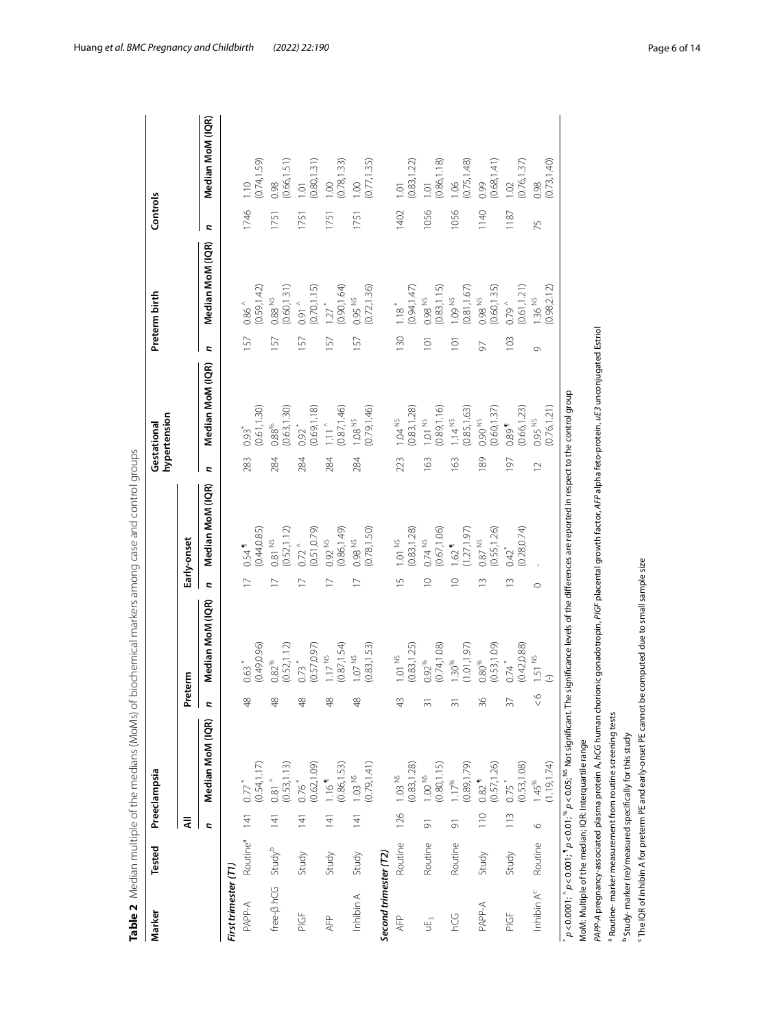| Marker                         | Tested                   |                    | Preeclampsia                        |               |                                                                                                                                                                             |                |                                      |                | hypertension<br>Gestational         |                  | Preterm birth                      | Controls |                                                     |
|--------------------------------|--------------------------|--------------------|-------------------------------------|---------------|-----------------------------------------------------------------------------------------------------------------------------------------------------------------------------|----------------|--------------------------------------|----------------|-------------------------------------|------------------|------------------------------------|----------|-----------------------------------------------------|
|                                |                          | ₹                  |                                     |               | Preterm                                                                                                                                                                     |                | Early-onset                          |                |                                     |                  |                                    |          |                                                     |
|                                |                          | p                  | Median MoM (IQR)                    | d             | Median MoM (IQR)                                                                                                                                                            | Z,             | Median MoM (IQR)                     | c              | Median MoM (IQR)                    | c                | Median MoM (IQR)                   | 2        | Median MoM (IQR)                                    |
| First trimester (T1)           |                          |                    |                                     |               |                                                                                                                                                                             |                |                                      |                |                                     |                  |                                    |          |                                                     |
| PAPP-A                         | Routine <sup>a</sup> 141 |                    | $0.77$ <sup>*</sup>                 | $\frac{8}{4}$ | $0.63$ <sup>*</sup>                                                                                                                                                         | $\geq$         | 0.54                                 | 283            | $0.93$ <sup>*</sup>                 | 157              | $0.86\,^{\wedge}$                  | 1746     | $1.10$<br>(0.74,1.59)                               |
|                                |                          |                    | (0.54, 1.17)                        |               | (0.49, 0.96)                                                                                                                                                                |                | (0.44, 0.85)                         |                | (0.61, 1.30)                        |                  | 0.59, 1.42                         |          |                                                     |
| free-B hCG                     | Study <sup>b</sup>       | 141                | (0.53, 1.13)<br>$\frac{1}{2}$ 81    | $\frac{8}{3}$ | (0.52, 1.12)<br>$0.82\,^{\%}$                                                                                                                                               |                | (0.52, 1.12)<br>0.81 NS              | 284            | (0.63, 1.30)<br>$0.88\%$            | 57               | 0.60, 1.31<br>$0.88$ $^{\rm NS}$   | 1751     | $\frac{0.98}{(0.66, 1.51)}$                         |
| $\frac{1}{2}$                  | Study                    | $\overline{141}$   | (0.62, 1.09)<br>0.76                | $\frac{8}{3}$ | $0.73$ *<br>$(0.57, 0.97)$                                                                                                                                                  |                | $0.72^{\circ}$<br>$(0.51, 0.79)$     | 284            | 0.69, 1.18)<br>$0.92*$              | 157              | $0.91$ $^{0.91}$<br>(0.70, 1.15)   | 1751     | $\begin{array}{c} 1.01 \\ (0.80, 1.31) \end{array}$ |
| AFP                            | Study                    | $\overline{141}$   | 0.86,1.53)<br>$1.16$ <sup>1</sup>   | $\frac{8}{4}$ | (0.87, 1.54)<br>1.17 <sup>NS</sup>                                                                                                                                          |                | (0.86, 1.49)<br>$0.92$ <sup>NS</sup> | 284            | 0.87, 1.46)<br>$1.11$ $^{\circ}$    | 57               | 0.90, 1.64<br>$1.27$ <sup>*</sup>  | 1751     | $\frac{1.00}{(0.78, 1.33)}$                         |
| Inhibin A                      | Study                    | $\overline{141}$   | (0.79, 1.41)<br>$1.03$ NS           | $\frac{8}{3}$ | (0.83, 1.53)<br>$1.07$ NS                                                                                                                                                   |                | (0.78, 1.50)<br>0.98 <sup>NS</sup>   | 284            | 0.79, 1.46<br>$1.08NS$              | 157              | (0.72, 1.36)<br>$0.95$ NS          | 1751     | (0.77, 1.35)<br>1.00                                |
| Second trimester (T2)          |                          |                    |                                     |               |                                                                                                                                                                             |                |                                      |                |                                     |                  |                                    |          |                                                     |
| AFP                            | Routine                  | 126                | (0.83, 1.28)<br>$1.03$ NS           | $\frac{1}{4}$ | (0.83, 1.25)<br>$1.01$ NS                                                                                                                                                   | $\overline{1}$ | (0.83, 1.28)<br>$1.01$ NS            | 223            | 0.83, 1.28<br>$1.04$ NS             | 130              | $1.18$ <sup>*</sup><br>(0.94,1.47) | 1402     | $\begin{array}{c} 1.01 \\ (0.83, 1.22) \end{array}$ |
| υÉ <sub>3</sub>                | Routine                  | $\overline{5}$     | 0.80, 1.15<br>$1.00$ $^{\rm NS}$    | ᆕ             | (0.74, 1.08)<br>$0.92\%$                                                                                                                                                    | $\circ$        | (0.67, 1.06)<br>$0.74$ NS            | 163            | 0.89, 1.16<br>$1.01$ NS             | $\overline{101}$ | (0.83, 1.15)<br>0.98 <sup>NS</sup> | 1056     | $\frac{1.01}{(0.86, 1.18)}$                         |
| 504                            | Routine                  | $\overline{\circ}$ | (0.89, 1.79)<br>1.17%               | 3             | (1.01, 1.97)<br>$1.30^{96}$                                                                                                                                                 | $\subseteq$    | (1.27, 1.97)<br>1.62                 | 163            | 0.85, 1.63)<br>$1.14$ NS            | $\overline{5}$   | (0.81, 1.67)<br>1.09 NS            | 1056     | $1.06$<br>$(0.75, 1.48)$                            |
| PAPP-A                         | Study                    | $\frac{0}{10}$     | (0.57, 1.26)<br>0.82                | 36            | (0.53, 1.09)<br>$0.80\%$                                                                                                                                                    | $\sim$         | (0.55, 1.26)<br>$0.87$ $^{\rm NS}$   | 189            | (0.60, 1.37)<br>0.90 NS             | 50               | 0.60, 1.35)<br>0.98 <sup>NS</sup>  | 1140     | $0.99$<br>$(0.68, 1.41)$                            |
| PIGF                           | Study                    | 113                | (0.53, 1.08)<br>$0.75$ <sup>*</sup> | 37            | (0.42, 0.88)<br>$0.74$ <sup>*</sup>                                                                                                                                         | $\sim$         | 0.28, 0.74<br>642                    | 197            | (0.66, 1.23)<br>$0.89$ <sup>1</sup> | 103              | 0.61, 1.21)<br>$0.79^{\circ}$      | 1187     | $\frac{1.02}{(0.76, 1.37)}$                         |
| Inhibin A <sup>c</sup> Routine |                          | $\circ$            | 1.19, 1.74<br>$1.45^{\%}$           | $\frac{6}{5}$ | 1.51 <sup>NS</sup>                                                                                                                                                          | $\circ$        |                                      | $\overline{C}$ | 0.76, 1.21<br>0.95 NS               | Ō                | (0.98, 2.12)<br>1.36 NS            | 75       | (0.73, 1.40)<br>0.98                                |
|                                |                          |                    |                                     |               | $\rho$ < 0.0001; $^6$ p < 0.01; $^9$ p < 0.01; $^8$ p < 0.05; $^8$ Not significant. The significance levels of the differences are reported in respect to the control group |                |                                      |                |                                     |                  |                                    |          |                                                     |

<span id="page-5-0"></span>Table 2 Median multiple of the medians (MoMs) of biochemical markers among case and control groups **Table 2** Median multiple of the medians (MoMs) of biochemical markers among case and control groups

 *p*<0.0001; ^ *p*<0.001; ¶ *p*<0.01; % *p*<0.05; NS Not signifcant. The signifcance levels of the diferences are reported in respect to the control group MoM: Multiple of the median; IQR: Interquartile range MoM: Multiple of the median; IQR: Interquartile range

PAPP-A pregnancy-associated plasma protein A, *hCG* human chorionic gonadotropin, PlGF placental growth factor, AFP alpha feto-protein, *uE3* unconjugated Estriol *PAPP-A* pregnancy-associated plasma protein A, *hCG* human chorionic gonadotropin, *PlGF* placental growth factor, *AFP* alpha feto-protein, *uE3* unconjugated Estriol <sup>a</sup> Routine-marker measurement from routine screening tests a Routine- marker measurement from routine screening tests

<sup>b</sup> Study- marker (re)/measured specifically for this study b Study- marker (re)/measured specifcally for this study

c

The IQR of inhibin A for preterm PE and early-onset PE cannot be computed due to small sample size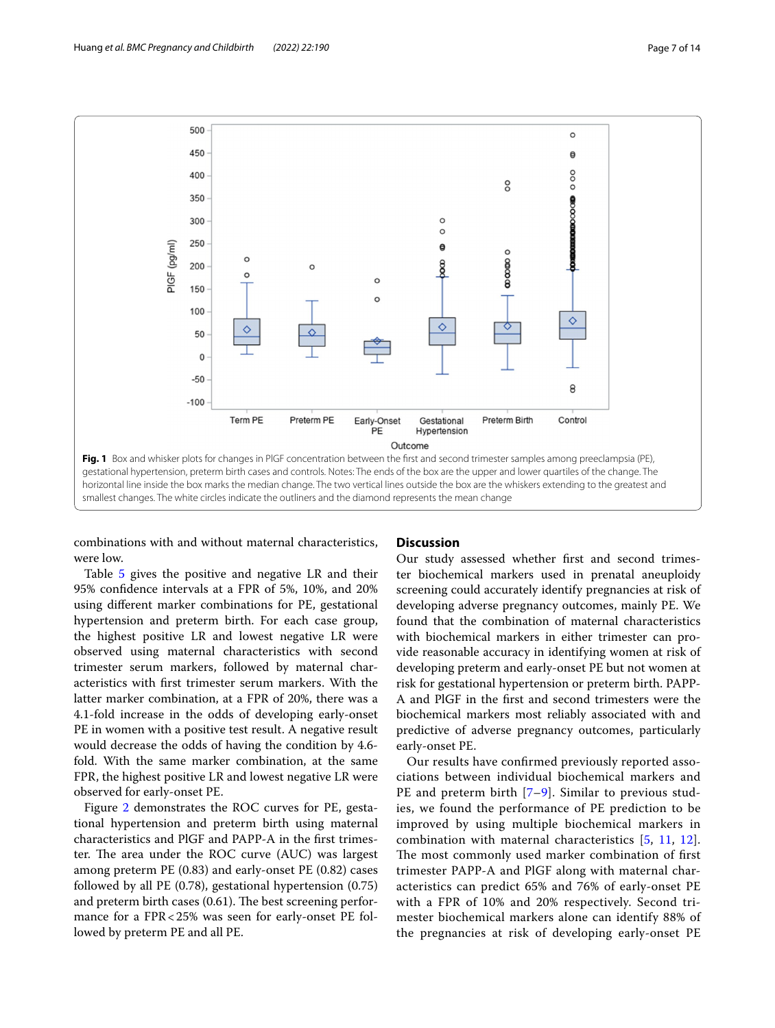

<span id="page-6-0"></span>combinations with and without maternal characteristics, were low.

Table [5](#page-9-0) gives the positive and negative LR and their 95% confdence intervals at a FPR of 5%, 10%, and 20% using diferent marker combinations for PE, gestational hypertension and preterm birth. For each case group, the highest positive LR and lowest negative LR were observed using maternal characteristics with second trimester serum markers, followed by maternal characteristics with frst trimester serum markers. With the latter marker combination, at a FPR of 20%, there was a 4.1-fold increase in the odds of developing early-onset PE in women with a positive test result. A negative result would decrease the odds of having the condition by 4.6 fold. With the same marker combination, at the same FPR, the highest positive LR and lowest negative LR were observed for early-onset PE.

Figure [2](#page-10-0) demonstrates the ROC curves for PE, gestational hypertension and preterm birth using maternal characteristics and PlGF and PAPP-A in the frst trimester. The area under the ROC curve (AUC) was largest among preterm PE (0.83) and early-onset PE (0.82) cases followed by all PE (0.78), gestational hypertension (0.75) and preterm birth cases  $(0.61)$ . The best screening performance for a FPR<25% was seen for early-onset PE followed by preterm PE and all PE.

#### **Discussion**

Our study assessed whether frst and second trimester biochemical markers used in prenatal aneuploidy screening could accurately identify pregnancies at risk of developing adverse pregnancy outcomes, mainly PE. We found that the combination of maternal characteristics with biochemical markers in either trimester can provide reasonable accuracy in identifying women at risk of developing preterm and early-onset PE but not women at risk for gestational hypertension or preterm birth. PAPP-A and PlGF in the frst and second trimesters were the biochemical markers most reliably associated with and predictive of adverse pregnancy outcomes, particularly early-onset PE.

Our results have confrmed previously reported associations between individual biochemical markers and PE and preterm birth [[7](#page-12-6)–[9](#page-12-7)]. Similar to previous studies, we found the performance of PE prediction to be improved by using multiple biochemical markers in combination with maternal characteristics [[5](#page-12-4), [11,](#page-12-9) [12](#page-12-10)]. The most commonly used marker combination of first trimester PAPP-A and PlGF along with maternal characteristics can predict 65% and 76% of early-onset PE with a FPR of 10% and 20% respectively. Second trimester biochemical markers alone can identify 88% of the pregnancies at risk of developing early-onset PE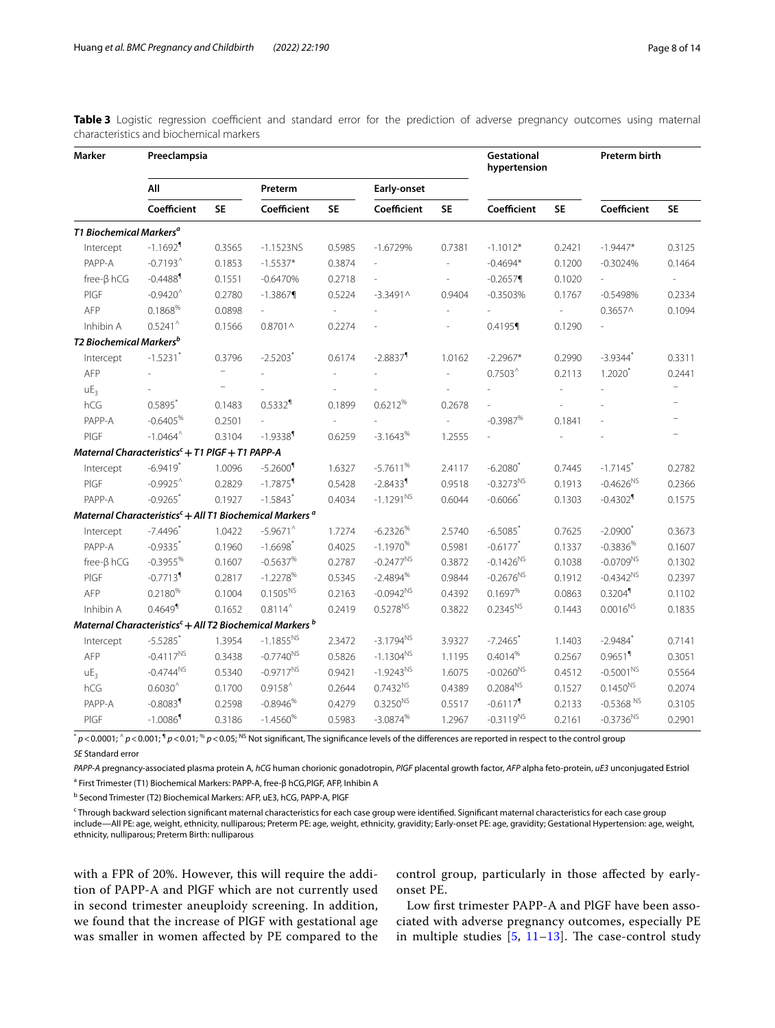<span id="page-7-0"></span>

|  |                                         |  |  |  |  | Table 3 Logistic regression coefficient and standard error for the prediction of adverse pregnancy outcomes using maternal |  |  |
|--|-----------------------------------------|--|--|--|--|----------------------------------------------------------------------------------------------------------------------------|--|--|
|  | characteristics and biochemical markers |  |  |  |  |                                                                                                                            |  |  |

| Marker                                     | Preeclampsia                                                                    |           |                        |                          |                          |                          | Gestational<br>hypertension |                          | Preterm birth            |                          |
|--------------------------------------------|---------------------------------------------------------------------------------|-----------|------------------------|--------------------------|--------------------------|--------------------------|-----------------------------|--------------------------|--------------------------|--------------------------|
|                                            | All                                                                             |           | Preterm                |                          | Early-onset              |                          |                             |                          |                          |                          |
|                                            | Coefficient                                                                     | <b>SE</b> | Coefficient            | <b>SE</b>                | Coefficient              | <b>SE</b>                | Coefficient                 | <b>SE</b>                | Coefficient              | <b>SE</b>                |
| <b>T1 Biochemical Markers<sup>a</sup></b>  |                                                                                 |           |                        |                          |                          |                          |                             |                          |                          |                          |
| Intercept                                  | $-1.1692$ <sup>1</sup>                                                          | 0.3565    | $-1.1523NS$            | 0.5985                   | $-1.6729%$               | 0.7381                   | $-1.1012*$                  | 0.2421                   | $-1.9447*$               | 0.3125                   |
| PAPP-A                                     | $-0.7193^$                                                                      | 0.1853    | $-1.5537*$             | 0.3874                   | $\overline{\phantom{a}}$ | ÷,                       | $-0.4694*$                  | 0.1200                   | $-0.3024%$               | 0.1464                   |
| $free-\beta hCG$                           | $-0.4488$                                                                       | 0.1551    | $-0.6470%$             | 0.2718                   |                          |                          | $-0.2657$                   | 0.1020                   | $\overline{\phantom{a}}$ | $\overline{\phantom{a}}$ |
| PIGF                                       | $-0.9420$                                                                       | 0.2780    | $-1.3867$              | 0.5224                   | $-3.3491$ ^              | 0.9404                   | $-0.3503%$                  | 0.1767                   | $-0.5498%$               | 0.2334                   |
| AFP                                        | 0.1868%                                                                         | 0.0898    |                        | $\overline{\phantom{a}}$ |                          |                          |                             | $\overline{\phantom{a}}$ | $0.3657^$                | 0.1094                   |
| Inhibin A                                  | $0.5241^{\circ}$                                                                | 0.1566    | $0.8701 \wedge$        | 0.2274                   |                          |                          | 0.4195                      | 0.1290                   | L.                       |                          |
| <b>T2 Biochemical Markers</b> <sup>b</sup> |                                                                                 |           |                        |                          |                          |                          |                             |                          |                          |                          |
| Intercept                                  | $-1.5231$ <sup>*</sup>                                                          | 0.3796    | $-2.5203$              | 0.6174                   | $-2.8837$                | 1.0162                   | $-2.2967*$                  | 0.2990                   | $-3.9344$ <sup>*</sup>   | 0.3311                   |
| AFP                                        |                                                                                 |           |                        |                          |                          | ÷,                       | $0.7503^$                   | 0.2113                   | $1.2020*$                | 0.2441                   |
| UE <sub>3</sub>                            |                                                                                 |           |                        |                          |                          |                          |                             |                          |                          |                          |
| hCG                                        | $0.5895*$                                                                       | 0.1483    | $0.5332$ <sup>1</sup>  | 0.1899                   | 0.6212%                  | 0.2678                   |                             |                          |                          |                          |
| PAPP-A                                     | $-0.6405\%$                                                                     | 0.2501    |                        | $\overline{a}$           |                          | $\overline{\phantom{a}}$ | $-0.3987%$                  | 0.1841                   |                          |                          |
| PIGF                                       | $-1.0464^{\wedge}$                                                              | 0.3104    | $-1.9338$ <sup>1</sup> | 0.6259                   | $-3.1643%$               | 1.2555                   |                             |                          |                          |                          |
|                                            | Maternal Characteristics <sup>c</sup> + T1 PIGF + T1 PAPP-A                     |           |                        |                          |                          |                          |                             |                          |                          |                          |
| Intercept                                  | $-6.9419$ <sup>*</sup>                                                          | 1.0096    | $-5.2600$              | 1.6327                   | $-5.7611%$               | 2.4117                   | $-6.2080$                   | 0.7445                   | $-1.7145$                | 0.2782                   |
| PIGF                                       | $-0.9925$                                                                       | 0.2829    | $-1.7875$ <sup>1</sup> | 0.5428                   | $-2.8433$ <sup>1</sup>   | 0.9518                   | $-0.3273^{NS}$              | 0.1913                   | $-0.4626^{NS}$           | 0.2366                   |
| PAPP-A                                     | $-0.9265$                                                                       | 0.1927    | $-1.5843$ <sup>*</sup> | 0.4034                   | $-1.1291^{NS}$           | 0.6044                   | $-0.6066*$                  | 0.1303                   | $-0.4302$ <sup>1</sup>   | 0.1575                   |
|                                            | Maternal Characteristics <sup>c</sup> + All T1 Biochemical Markers <sup>a</sup> |           |                        |                          |                          |                          |                             |                          |                          |                          |
| Intercept                                  | $-7.4496$                                                                       | 1.0422    | $-5.9671$              | 1.7274                   | $-6.2326%$               | 2.5740                   | $-6.5085$                   | 0.7625                   | $-2.0900$ <sup>*</sup>   | 0.3673                   |
| PAPP-A                                     | $-0.9335$ <sup>*</sup>                                                          | 0.1960    | $-1.6698$ <sup>*</sup> | 0.4025                   | $-1.1970%$               | 0.5981                   | $-0.6177$ <sup>*</sup>      | 0.1337                   | $-0.3836%$               | 0.1607                   |
| $free-\beta hCG$                           | $-0.3955%$                                                                      | 0.1607    | $-0.5637%$             | 0.2787                   | $-0.2477^{NS}$           | 0.3872                   | $-0.1426^{NS}$              | 0.1038                   | $-0.0709^{NS}$           | 0.1302                   |
| PIGF                                       | $-0.7713$ <sup>1</sup>                                                          | 0.2817    | $-1.2278%$             | 0.5345                   | $-2.4894%$               | 0.9844                   | $-0.2676^{NS}$              | 0.1912                   | $-0.4342^{NS}$           | 0.2397                   |
| AFP                                        | $0.2180\%$                                                                      | 0.1004    | $0.1505^{NS}$          | 0.2163                   | $-0.0942^{NS}$           | 0.4392                   | 0.1697%                     | 0.0863                   | 0.3204                   | 0.1102                   |
| Inhibin A                                  | $0.4649$ <sup>1</sup>                                                           | 0.1652    | $0.8114^$              | 0.2419                   | $0.5278^{NS}$            | 0.3822                   | $0.2345^{NS}$               | 0.1443                   | $0.0016^{NS}$            | 0.1835                   |
|                                            | Maternal Characteristics <sup>c</sup> + All T2 Biochemical Markers <sup>b</sup> |           |                        |                          |                          |                          |                             |                          |                          |                          |
| Intercept                                  | $-5.5285$                                                                       | 1.3954    | $-1.1855^{NS}$         | 2.3472                   | $-3.1794^{NS}$           | 3.9327                   | $-7.2465$                   | 1.1403                   | $-2.9484$ <sup>*</sup>   | 0.7141                   |
| AFP                                        | $-0.4117^{NS}$                                                                  | 0.3438    | $-0.7740^{NS}$         | 0.5826                   | $-1.1304^{NS}$           | 1.1195                   | 0.4014%                     | 0.2567                   | $0.9651$ <sup>1</sup>    | 0.3051                   |
| UE <sub>3</sub>                            | $-0.4744^{NS}$                                                                  | 0.5340    | $-0.9717^{NS}$         | 0.9421                   | $-1.9243^{NS}$           | 1.6075                   | $-0.0260^{NS}$              | 0.4512                   | $-0.5001^{NS}$           | 0.5564                   |
| hCG                                        | $0.6030^{\wedge}$                                                               | 0.1700    | $0.9158^{\wedge}$      | 0.2644                   | $0.7432^{NS}$            | 0.4389                   | $0.2084^{NS}$               | 0.1527                   | $0.1450^{NS}$            | 0.2074                   |
| PAPP-A                                     | $-0.8083$ <sup>1</sup>                                                          | 0.2598    | $-0.8946%$             | 0.4279                   | $0.3250^{NS}$            | 0.5517                   | $-0.6117$ <sup>1</sup>      | 0.2133                   | $-0.5368$ <sup>NS</sup>  | 0.3105                   |
| PIGF                                       | $-1.0086$                                                                       | 0.3186    | $-1.4560%$             | 0.5983                   | $-3.0874%$               | 1.2967                   | $-0.3119^{NS}$              | 0.2161                   | $-0.3736^{NS}$           | 0.2901                   |

*p* < 0.0001;  $\gamma$  *p* < 0.001;  $\gamma$  *p* < 0.01;  $\%$  *p* < 0.05; <sup>NS</sup> Not significant, The significance levels of the differences are reported in respect to the control group *SE* Standard error

*PAPP-A* pregnancy-associated plasma protein A, *hCG* human chorionic gonadotropin, *PlGF* placental growth factor, *AFP* alpha feto-protein, *uE3* unconjugated Estriol <sup>a</sup> First Trimester (T1) Biochemical Markers: PAPP-A, free-β hCG,PIGF, AFP, Inhibin A

<sup>b</sup> Second Trimester (T2) Biochemical Markers: AFP, uE3, hCG, PAPP-A, PIGF

c Through backward selection signifcant maternal characteristics for each case group were identifed. Signifcant maternal characteristics for each case group include—All PE: age, weight, ethnicity, nulliparous; Preterm PE: age, weight, ethnicity, gravidity; Early-onset PE: age, gravidity; Gestational Hypertension: age, weight, ethnicity, nulliparous; Preterm Birth: nulliparous

with a FPR of 20%. However, this will require the addition of PAPP-A and PlGF which are not currently used in second trimester aneuploidy screening. In addition, we found that the increase of PlGF with gestational age was smaller in women afected by PE compared to the control group, particularly in those afected by earlyonset PE.

Low frst trimester PAPP-A and PlGF have been associated with adverse pregnancy outcomes, especially PE in multiple studies  $[5, 11-13]$  $[5, 11-13]$  $[5, 11-13]$  $[5, 11-13]$  $[5, 11-13]$  $[5, 11-13]$ . The case-control study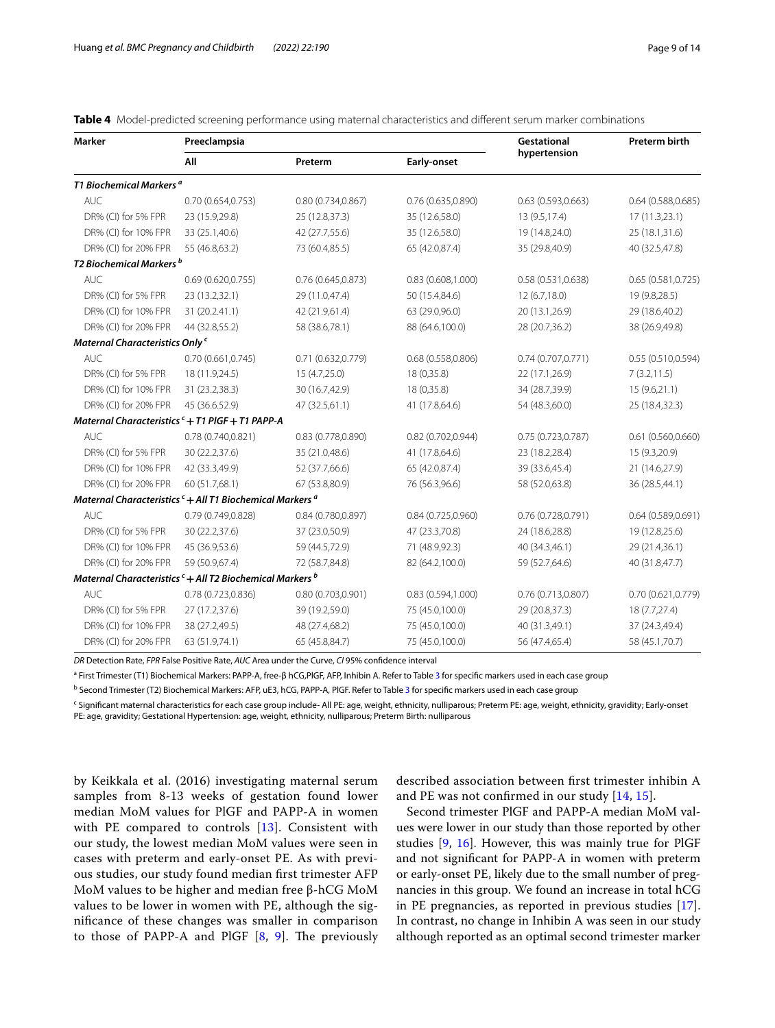<span id="page-8-0"></span>**Table 4** Model-predicted screening performance using maternal characteristics and diferent serum marker combinations

| <b>Marker</b>                                                                   | Preeclampsia       |                    |                    | Gestational        | <b>Preterm birth</b> |
|---------------------------------------------------------------------------------|--------------------|--------------------|--------------------|--------------------|----------------------|
|                                                                                 | All                | Preterm            | Early-onset        | hypertension       |                      |
| T1 Biochemical Markers <sup>a</sup>                                             |                    |                    |                    |                    |                      |
| <b>AUC</b>                                                                      | 0.70 (0.654,0.753) | 0.80(0.734, 0.867) | 0.76(0.635, 0.890) | 0.63(0.593, 0.663) | 0.64(0.588, 0.685)   |
| DR% (CI) for 5% FPR                                                             | 23 (15.9,29.8)     | 25 (12.8,37.3)     | 35 (12.6,58.0)     | 13 (9.5,17.4)      | 17 (11.3,23.1)       |
| DR% (CI) for 10% FPR                                                            | 33 (25.1,40.6)     | 42 (27.7,55.6)     | 35 (12.6,58.0)     | 19 (14.8,24.0)     | 25 (18.1,31.6)       |
| DR% (CI) for 20% FPR                                                            | 55 (46.8,63.2)     | 73 (60.4,85.5)     | 65 (42.0,87.4)     | 35 (29.8,40.9)     | 40 (32.5,47.8)       |
| T2 Biochemical Markers <sup>b</sup>                                             |                    |                    |                    |                    |                      |
| <b>AUC</b>                                                                      | 0.69(0.620, 0.755) | 0.76(0.645, 0.873) | 0.83(0.608, 1.000) | 0.58(0.531, 0.638) | 0.65(0.581, 0.725)   |
| DR% (CI) for 5% FPR                                                             | 23 (13.2,32.1)     | 29 (11.0,47.4)     | 50 (15.4,84.6)     | 12 (6.7,18.0)      | 19 (9.8,28.5)        |
| DR% (CI) for 10% FPR                                                            | 31 (20.2.41.1)     | 42 (21.9,61.4)     | 63 (29.0,96.0)     | 20 (13.1,26.9)     | 29 (18.6,40.2)       |
| DR% (CI) for 20% FPR                                                            | 44 (32.8,55.2)     | 58 (38.6,78.1)     | 88 (64.6,100.0)    | 28 (20.7,36.2)     | 38 (26.9,49.8)       |
| Maternal Characteristics Only c                                                 |                    |                    |                    |                    |                      |
| <b>AUC</b>                                                                      | 0.70(0.661, 0.745) | 0.71 (0.632,0.779) | 0.68(0.558, 0.806) | 0.74(0.707, 0.771) | 0.55 (0.510,0.594)   |
| DR% (CI) for 5% FPR                                                             | 18 (11.9,24.5)     | 15 (4.7,25.0)      | 18 (0,35.8)        | 22 (17.1,26.9)     | 7(3.2, 11.5)         |
| DR% (CI) for 10% FPR                                                            | 31 (23.2,38.3)     | 30 (16.7,42.9)     | 18 (0,35.8)        | 34 (28.7,39.9)     | 15(9.6, 21.1)        |
| DR% (CI) for 20% FPR                                                            | 45 (36.6.52.9)     | 47 (32.5,61.1)     | 41 (17.8,64.6)     | 54 (48.3,60.0)     | 25 (18.4,32.3)       |
| Maternal Characteristics $c + T1$ PIGF + T1 PAPP-A                              |                    |                    |                    |                    |                      |
| <b>AUC</b>                                                                      | 0.78(0.740, 0.821) | 0.83 (0.778,0.890) | 0.82 (0.702,0.944) | 0.75(0.723, 0.787) | 0.61(0.560, 0.660)   |
| DR% (CI) for 5% FPR                                                             | 30 (22.2,37.6)     | 35 (21.0,48.6)     | 41 (17.8,64.6)     | 23 (18.2,28.4)     | 15 (9.3,20.9)        |
| DR% (CI) for 10% FPR                                                            | 42 (33.3,49.9)     | 52 (37.7,66.6)     | 65 (42.0,87.4)     | 39 (33.6,45.4)     | 21 (14.6,27.9)       |
| DR% (CI) for 20% FPR                                                            | 60 (51.7,68.1)     | 67 (53.8,80.9)     | 76 (56.3,96.6)     | 58 (52.0,63.8)     | 36 (28.5,44.1)       |
| Maternal Characteristics <sup>c</sup> + All T1 Biochemical Markers <sup>a</sup> |                    |                    |                    |                    |                      |
| <b>AUC</b>                                                                      | 0.79 (0.749,0.828) | 0.84 (0.780,0.897) | 0.84(0.725, 0.960) | 0.76(0.728, 0.791) | 0.64(0.589, 0.691)   |
| DR% (CI) for 5% FPR                                                             | 30 (22.2,37.6)     | 37 (23.0,50.9)     | 47 (23.3,70.8)     | 24 (18.6,28.8)     | 19 (12.8,25.6)       |
| DR% (CI) for 10% FPR                                                            | 45 (36.9,53.6)     | 59 (44.5,72.9)     | 71 (48.9,92.3)     | 40 (34.3,46.1)     | 29 (21.4,36.1)       |
| DR% (CI) for 20% FPR                                                            | 59 (50.9,67.4)     | 72 (58.7,84.8)     | 82 (64.2,100.0)    | 59 (52.7,64.6)     | 40 (31.8,47.7)       |
| Maternal Characteristics <sup>c</sup> + All T2 Biochemical Markers <sup>b</sup> |                    |                    |                    |                    |                      |
| <b>AUC</b>                                                                      | 0.78 (0.723,0.836) | 0.80(0.703, 0.901) | 0.83(0.594, 1.000) | 0.76(0.713,0.807)  | 0.70 (0.621,0.779)   |
| DR% (CI) for 5% FPR                                                             | 27 (17.2,37.6)     | 39 (19.2,59.0)     | 75 (45.0,100.0)    | 29 (20.8,37.3)     | 18 (7.7,27.4)        |
| DR% (CI) for 10% FPR                                                            | 38 (27.2,49.5)     | 48 (27.4,68.2)     | 75 (45.0,100.0)    | 40 (31.3,49.1)     | 37 (24.3,49.4)       |
| DR% (CI) for 20% FPR                                                            | 63 (51.9,74.1)     | 65 (45.8,84.7)     | 75 (45.0,100.0)    | 56 (47.4,65.4)     | 58 (45.1,70.7)       |

*DR* Detection Rate, *FPR* False Positive Rate, *AUC* Area under the Curve, *CI* 95% confdence interval

a First Trimester (T1) Biochemical Markers: PAPP-A, free-β hCG,PlGF, AFP, Inhibin A. Refer to Table [3](#page-7-0) for specifc markers used in each case group

<sup>b</sup> Second Trimester (T2) Biochemical Markers: AFP, uE[3](#page-7-0), hCG, PAPP-A, PIGF. Refer to Table 3 for specific markers used in each case group

<sup>c</sup> Significant maternal characteristics for each case group include- All PE: age, weight, ethnicity, nulliparous; Preterm PE: age, weight, ethnicity, gravidity; Early-onset PE: age, gravidity; Gestational Hypertension: age, weight, ethnicity, nulliparous; Preterm Birth: nulliparous

by Keikkala et al. (2016) investigating maternal serum samples from 8-13 weeks of gestation found lower median MoM values for PlGF and PAPP-A in women with PE compared to controls [[13\]](#page-12-11). Consistent with our study, the lowest median MoM values were seen in cases with preterm and early-onset PE. As with previous studies, our study found median frst trimester AFP MoM values to be higher and median free β-hCG MoM values to be lower in women with PE, although the signifcance of these changes was smaller in comparison to those of PAPP-A and PlGF  $[8, 9]$  $[8, 9]$  $[8, 9]$  $[8, 9]$  $[8, 9]$ . The previously

described association between frst trimester inhibin A and PE was not confrmed in our study [[14,](#page-12-13) [15\]](#page-13-0).

Second trimester PlGF and PAPP-A median MoM values were lower in our study than those reported by other studies [\[9](#page-12-7), [16\]](#page-13-1). However, this was mainly true for PlGF and not signifcant for PAPP-A in women with preterm or early-onset PE, likely due to the small number of pregnancies in this group. We found an increase in total hCG in PE pregnancies, as reported in previous studies [\[17](#page-13-2)]. In contrast, no change in Inhibin A was seen in our study although reported as an optimal second trimester marker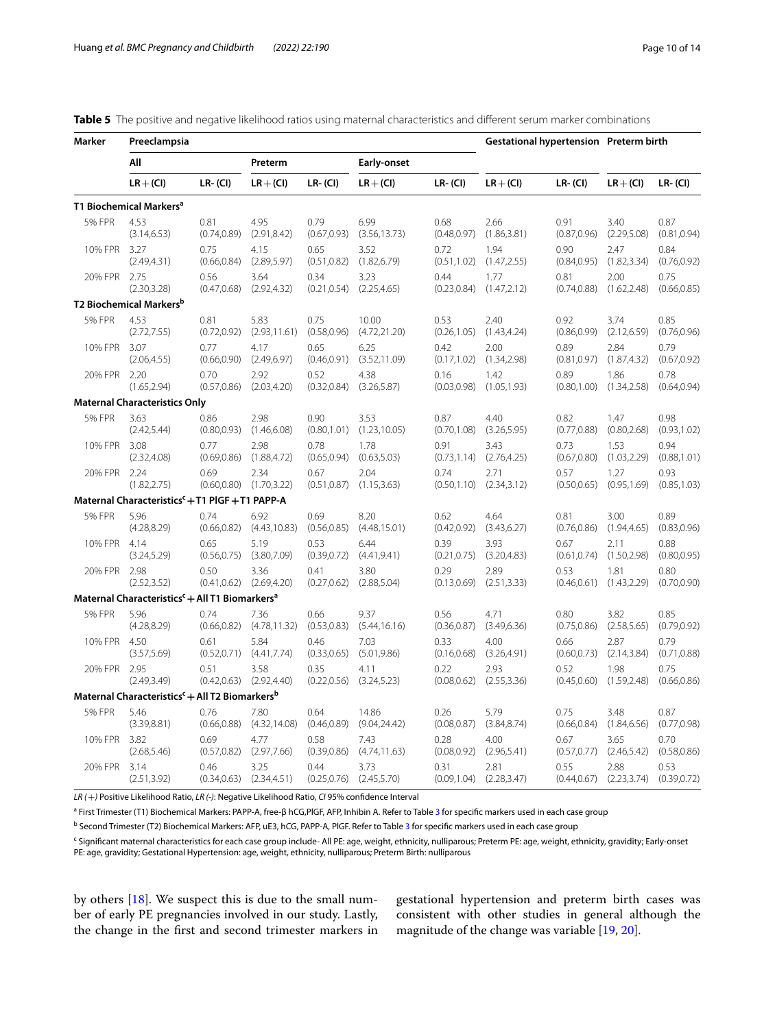<span id="page-9-0"></span>

|  |  |  | <b>Table 5</b> The positive and negative likelihood ratios using maternal characteristics and different serum marker combinations |  |  |  |
|--|--|--|-----------------------------------------------------------------------------------------------------------------------------------|--|--|--|
|--|--|--|-----------------------------------------------------------------------------------------------------------------------------------|--|--|--|

| Marker        | Preeclampsia                                                           |                      |                                       |                      |                                       |                      |                                       | Gestational hypertension Preterm birth |                      |                      |
|---------------|------------------------------------------------------------------------|----------------------|---------------------------------------|----------------------|---------------------------------------|----------------------|---------------------------------------|----------------------------------------|----------------------|----------------------|
|               | All                                                                    |                      | Preterm                               |                      | Early-onset                           |                      |                                       |                                        |                      |                      |
|               | $LR + (CI)$                                                            | $LR - (Cl)$          | $LR + (CI)$                           | $LR - (Cl)$          | $LR + (CI)$                           | $LR - (CI)$          | $LR + (Cl)$                           | $LR - (CI)$                            | $LR + (Cl)$          | $LR - (Cl)$          |
|               | T1 Biochemical Markers <sup>a</sup>                                    |                      |                                       |                      |                                       |                      |                                       |                                        |                      |                      |
| <b>5% FPR</b> | 4.53                                                                   | 0.81                 | 4.95                                  | 0.79                 | 6.99                                  | 0.68                 | 2.66                                  | 0.91                                   | 3.40                 | 0.87                 |
|               | (3.14, 6.53)                                                           | (0.74, 0.89)         | (2.91, 8.42)                          | (0.67, 0.93)         | (3.56, 13.73)                         | (0.48, 0.97)         | (1.86, 3.81)                          | (0.87, 0.96)                           | (2.29, 5.08)         | (0.81, 0.94)         |
| 10% FPR       | 3.27                                                                   | 0.75                 | 4.15                                  | 0.65                 | 3.52                                  | 0.72                 | 1.94                                  | 0.90                                   | 2.47                 | 0.84                 |
|               | (2.49, 4.31)                                                           | (0.66, 0.84)         | (2.89, 5.97)                          | (0.51, 0.82)         | (1.82, 6.79)                          | (0.51, 1.02)         | (1.47, 2.55)                          | (0.84, 0.95)                           | (1.82, 3.34)         | (0.76, 0.92)         |
| 20% FPR       | 2.75                                                                   | 0.56                 | 3.64                                  | 0.34                 | 3.23                                  | 0.44                 | 1.77                                  | 0.81                                   | 2.00                 | 0.75                 |
|               | (2.30, 3.28)                                                           | (0.47, 0.68)         | (2.92, 4.32)                          | (0.21, 0.54)         | (2.25, 4.65)                          | (0.23, 0.84)         | (1.47, 2.12)                          | (0.74, 0.88)                           | (1.62, 2.48)         | (0.66, 0.85)         |
|               | T2 Biochemical Markers <sup>b</sup>                                    |                      |                                       |                      |                                       |                      |                                       |                                        |                      |                      |
| <b>5% FPR</b> | 4.53                                                                   | 0.81                 | 5.83                                  | 0.75                 | 10.00                                 | 0.53                 | 2.40                                  | 0.92                                   | 3.74                 | 0.85                 |
|               | (2.72, 7.55)                                                           | (0.72, 0.92)         | (2.93, 11.61)                         | (0.58, 0.96)         | (4.72, 21.20)                         | (0.26, 1.05)         | (1.43, 4.24)                          | (0.86, 0.99)                           | (2.12, 6.59)         | (0.76, 0.96)         |
| 10% FPR       | 3.07                                                                   | 0.77                 | 4.17                                  | 0.65                 | 6.25                                  | 0.42                 | 2.00                                  | 0.89                                   | 2.84                 | 0.79                 |
|               | (2.06, 4.55)                                                           | (0.66, 0.90)         | (2.49, 6.97)                          | (0.46, 0.91)         | (3.52, 11.09)                         | (0.17, 1.02)         | (1.34, 2.98)                          | (0.81, 0.97)                           | (1.87, 4.32)         | (0.67, 0.92)         |
| 20% FPR       | 2.20                                                                   | 0.70                 | 2.92                                  | 0.52                 | 4.38                                  | 0.16                 | 1.42                                  | 0.89                                   | 1.86                 | 0.78                 |
|               | (1.65, 2.94)                                                           | (0.57, 0.86)         | (2.03, 4.20)                          | (0.32, 0.84)         | (3.26, 5.87)                          | (0.03, 0.98)         | (1.05, 1.93)                          | (0.80, 1.00)                           | (1.34, 2.58)         | (0.64, 0.94)         |
|               | <b>Maternal Characteristics Only</b>                                   |                      |                                       |                      |                                       |                      |                                       |                                        |                      |                      |
| <b>5% FPR</b> | 3.63                                                                   | 0.86                 | 2.98                                  | 0.90                 | 3.53                                  | 0.87                 | 4.40                                  | 0.82                                   | 1.47                 | 0.98                 |
|               | (2.42, 5.44)                                                           | (0.80, 0.93)         | (1.46, 6.08)                          | (0.80, 1.01)         | (1.23, 10.05)                         | (0.70, 1.08)         | (3.26, 5.95)                          | (0.77, 0.88)                           | (0.80, 2.68)         | (0.93, 1.02)         |
| 10% FPR       | 3.08                                                                   | 0.77                 | 2.98                                  | 0.78                 | 1.78                                  | 0.91                 | 3.43                                  | 0.73                                   | 1.53                 | 0.94                 |
|               | (2.32, 4.08)                                                           | (0.69, 0.86)         | (1.88, 4.72)                          | (0.65, 0.94)         | (0.63, 5.03)                          | (0.73, 1.14)         | (2.76, 4.25)                          | (0.67, 0.80)                           | (1.03, 2.29)         | (0.88, 1.01)         |
| 20% FPR 2.24  | (1.82, 2.75)                                                           | 0.69<br>(0.60, 0.80) | 2.34<br>(1.70, 3.22)                  | 0.67<br>(0.51, 0.87) | 2.04<br>(1.15, 3.63)                  | 0.74<br>(0.50, 1.10) | 2.71<br>(2.34, 3.12)                  | 0.57<br>(0.50, 0.65)                   | 1.27<br>(0.95, 1.69) | 0.93<br>(0.85, 1.03) |
|               | Maternal Characteristics <sup>c</sup> + T1 PIGF + T1 PAPP-A            |                      |                                       |                      |                                       |                      |                                       |                                        |                      |                      |
| <b>5% FPR</b> | 5.96                                                                   | 0.74                 | 6.92                                  | 0.69                 | 8.20                                  | 0.62                 | 4.64                                  | 0.81                                   | 3.00                 | 0.89                 |
|               | (4.28, 8.29)                                                           | (0.66, 0.82)         | (4.43, 10.83)                         | (0.56, 0.85)         | (4.48, 15.01)                         | (0.42, 0.92)         | (3.43, 6.27)                          | (0.76, 0.86)                           | (1.94, 4.65)         | (0.83, 0.96)         |
| 10% FPR 4.14  | (3.24, 5.29)                                                           | 0.65<br>(0.56, 0.75) | 5.19<br>(3.80, 7.09)                  | 0.53<br>(0.39, 0.72) | 6.44<br>(4.41, 9.41)                  | 0.39<br>(0.21, 0.75) | 3.93<br>(3.20, 4.83)                  | 0.67<br>(0.61, 0.74)                   | 2.11<br>(1.50, 2.98) | 0.88<br>(0.80, 0.95) |
| 20% FPR       | 2.98<br>(2.52, 3.52)                                                   | 0.50                 | 3.36<br>$(0.41, 0.62)$ $(2.69, 4.20)$ | 0.41<br>(0.27, 0.62) | 3.80<br>(2.88, 5.04)                  | 0.29                 | 2.89<br>$(0.13, 0.69)$ $(2.51, 3.33)$ | 0.53<br>(0.46, 0.61)                   | 1.81<br>(1.43, 2.29) | 0.80<br>(0.70, 0.90) |
|               | Maternal Characteristics <sup>c</sup> + All T1 Biomarkers <sup>a</sup> |                      |                                       |                      |                                       |                      |                                       |                                        |                      |                      |
| <b>5% FPR</b> | 5.96                                                                   | 0.74                 | 7.36                                  | 0.66                 | 9.37                                  | 0.56                 | 4.71                                  | 0.80                                   | 3.82                 | 0.85                 |
|               | (4.28, 8.29)                                                           | (0.66, 0.82)         | (4.78, 11.32)                         | (0.53, 0.83)         | (5.44, 16.16)                         | (0.36, 0.87)         | (3.49, 6.36)                          | (0.75, 0.86)                           | (2.58, 5.65)         | (0.79, 0.92)         |
| 10% FPR       | 4.50                                                                   | 0.61                 | 5.84                                  | 0.46                 | 7.03                                  | 0.33                 | 4.00                                  | 0.66                                   | 2.87                 | 0.79                 |
|               | (3.57, 5.69)                                                           | (0.52, 0.71)         | (4.41, 7.74)                          | (0.33, 0.65)         | (5.01, 9.86)                          | (0.16, 0.68)         | (3.26, 4.91)                          | (0.60, 0.73)                           | (2.14, 3.84)         | (0.71, 0.88)         |
| 20% FPR       | 2.95                                                                   | 0.51                 | 3.58                                  | 0.35                 | 4.11                                  | 0.22                 | 2.93                                  | 0.52                                   | 1.98                 | 0.75                 |
|               | (2.49, 3.49)                                                           | (0.42, 0.63)         | (2.92, 4.40)                          | (0.22, 0.56)         | (3.24, 5.23)                          | (0.08, 0.62)         | (2.55, 3.36)                          | (0.45, 0.60)                           | (1.59, 2.48)         | (0.66, 0.86)         |
|               | Maternal Characteristics <sup>c</sup> + All T2 Biomarkers <sup>b</sup> |                      |                                       |                      |                                       |                      |                                       |                                        |                      |                      |
| <b>5% FPR</b> | 5.46                                                                   | 0.76                 | 7.80                                  | 0.64                 | 14.86                                 | 0.26                 | 5.79                                  | 0.75                                   | 3.48                 | 0.87                 |
|               | (3.39, 8.81)                                                           | (0.66, 0.88)         | (4.32, 14.08)                         | (0.46, 0.89)         | (9.04, 24.42)                         | (0.08, 0.87)         | (3.84, 8.74)                          | (0.66, 0.84)                           | (1.84, 6.56)         | (0.77, 0.98)         |
| 10% FPR       | 3.82                                                                   | 0.69                 | 4.77                                  | 0.58                 | 7.43                                  | 0.28                 | 4.00                                  | 0.67                                   | 3.65                 | 0.70                 |
|               | (2.68, 5.46)                                                           | (0.57, 0.82)         | (2.97, 7.66)                          | (0.39, 0.86)         | (4.74, 11.63)                         | (0.08, 0.92)         | (2.96, 5.41)                          | (0.57, 0.77)                           | (2.46, 5.42)         | (0.58, 0.86)         |
| 20% FPR       | 3.14<br>(2.51, 3.92)                                                   | 0.46                 | 3.25<br>$(0.34, 0.63)$ $(2.34, 4.51)$ | 0.44                 | 3.73<br>$(0.25, 0.76)$ $(2.45, 5.70)$ | 0.31<br>(0.09, 1.04) | 2.81<br>(2.28, 3.47)                  | 0.55<br>(0.44, 0.67)                   | 2.88<br>(2.23, 3.74) | 0.53<br>(0.39, 0.72) |

*LR (*+*)* Positive Likelihood Ratio, *LR (-)*: Negative Likelihood Ratio, *CI* 95% confdence Interval

a First Trimester (T1) Biochemical Markers: PAPP-A, free-β hCG,PlGF, AFP, Inhibin A. Refer to Table [3](#page-7-0) for specifc markers used in each case group

<sup>b</sup> Second Trimester (T2) Biochemical Markers: AFP, uE[3](#page-7-0), hCG, PAPP-A, PIGF. Refer to Table 3 for specific markers used in each case group

<sup>c</sup> Significant maternal characteristics for each case group include- All PE: age, weight, ethnicity, nulliparous; Preterm PE: age, weight, ethnicity, gravidity; Early-onset PE: age, gravidity; Gestational Hypertension: age, weight, ethnicity, nulliparous; Preterm Birth: nulliparous

by others [\[18](#page-13-3)]. We suspect this is due to the small number of early PE pregnancies involved in our study. Lastly, the change in the frst and second trimester markers in gestational hypertension and preterm birth cases was consistent with other studies in general although the magnitude of the change was variable [\[19,](#page-13-4) [20](#page-13-5)].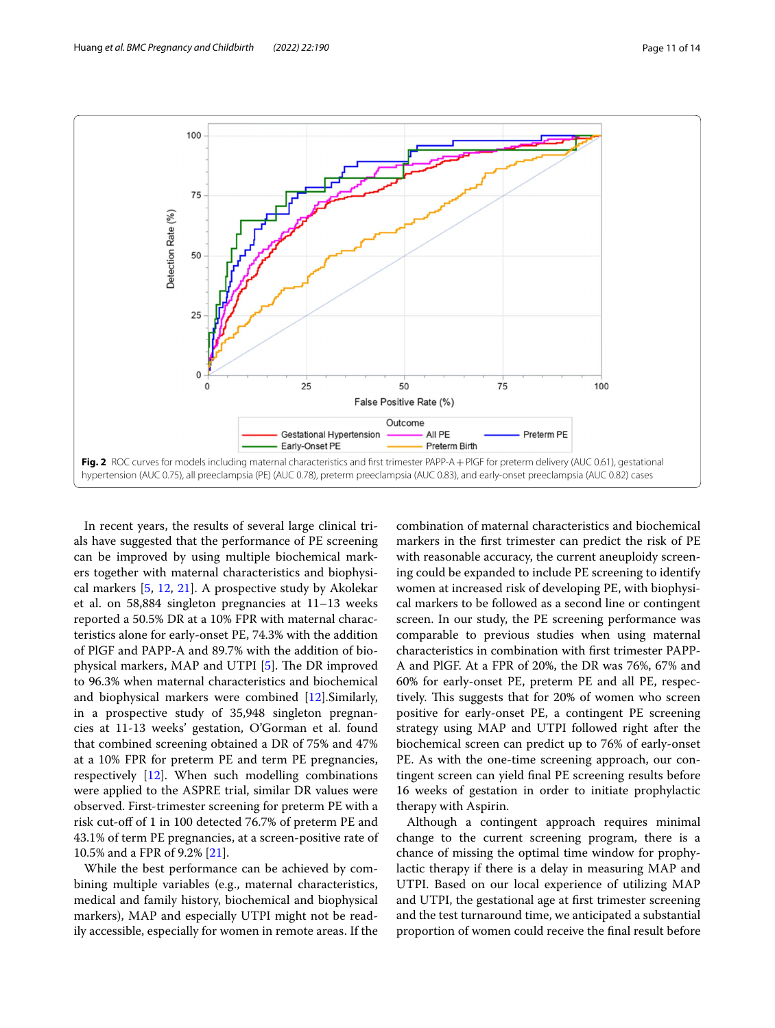

<span id="page-10-0"></span>In recent years, the results of several large clinical trials have suggested that the performance of PE screening can be improved by using multiple biochemical markers together with maternal characteristics and biophysical markers [[5,](#page-12-4) [12](#page-12-10), [21](#page-13-6)]. A prospective study by Akolekar et al. on 58,884 singleton pregnancies at 11–13 weeks reported a 50.5% DR at a 10% FPR with maternal characteristics alone for early-onset PE, 74.3% with the addition of PlGF and PAPP-A and 89.7% with the addition of bio-physical markers, MAP and UTPI [\[5](#page-12-4)]. The DR improved to 96.3% when maternal characteristics and biochemical and biophysical markers were combined [\[12](#page-12-10)].Similarly, in a prospective study of 35,948 singleton pregnancies at 11-13 weeks' gestation, O'Gorman et al. found that combined screening obtained a DR of 75% and 47% at a 10% FPR for preterm PE and term PE pregnancies, respectively [\[12](#page-12-10)]. When such modelling combinations were applied to the ASPRE trial, similar DR values were observed. First-trimester screening for preterm PE with a risk cut-off of 1 in 100 detected 76.7% of preterm PE and 43.1% of term PE pregnancies, at a screen-positive rate of 10.5% and a FPR of 9.2% [\[21\]](#page-13-6).

While the best performance can be achieved by combining multiple variables (e.g., maternal characteristics, medical and family history, biochemical and biophysical markers), MAP and especially UTPI might not be readily accessible, especially for women in remote areas. If the combination of maternal characteristics and biochemical markers in the frst trimester can predict the risk of PE with reasonable accuracy, the current aneuploidy screening could be expanded to include PE screening to identify women at increased risk of developing PE, with biophysical markers to be followed as a second line or contingent screen. In our study, the PE screening performance was comparable to previous studies when using maternal characteristics in combination with frst trimester PAPP-A and PlGF. At a FPR of 20%, the DR was 76%, 67% and 60% for early-onset PE, preterm PE and all PE, respectively. This suggests that for 20% of women who screen positive for early-onset PE, a contingent PE screening strategy using MAP and UTPI followed right after the biochemical screen can predict up to 76% of early-onset PE. As with the one-time screening approach, our contingent screen can yield fnal PE screening results before 16 weeks of gestation in order to initiate prophylactic therapy with Aspirin.

Although a contingent approach requires minimal change to the current screening program, there is a chance of missing the optimal time window for prophylactic therapy if there is a delay in measuring MAP and UTPI. Based on our local experience of utilizing MAP and UTPI, the gestational age at frst trimester screening and the test turnaround time, we anticipated a substantial proportion of women could receive the fnal result before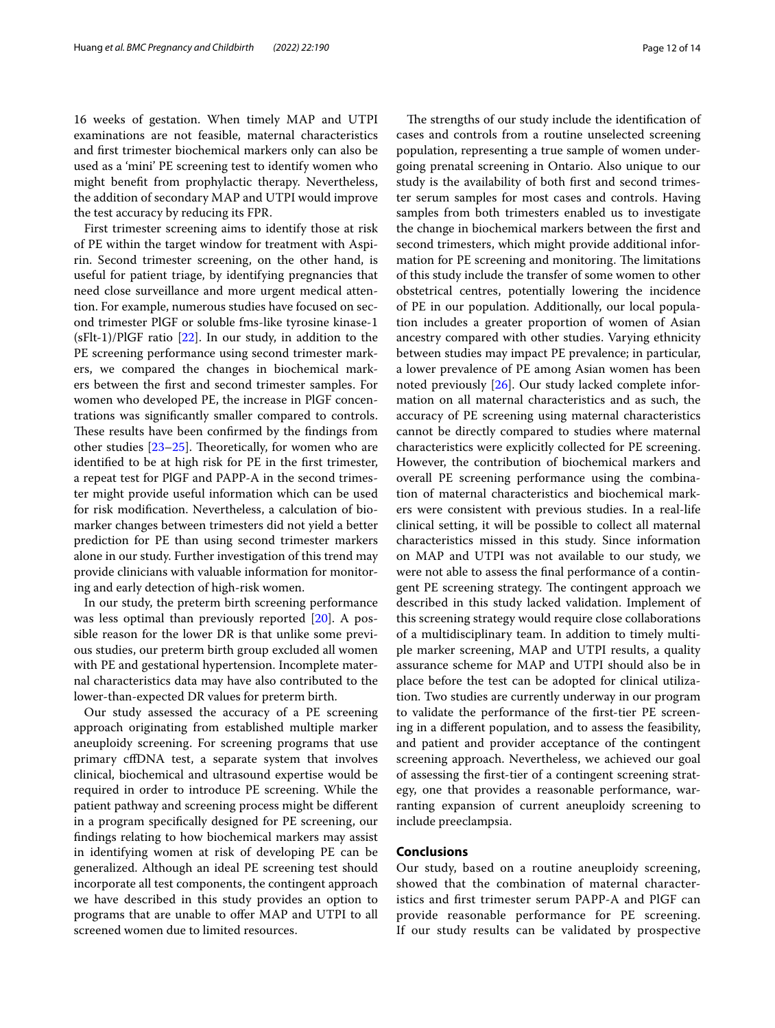16 weeks of gestation. When timely MAP and UTPI examinations are not feasible, maternal characteristics and frst trimester biochemical markers only can also be used as a 'mini' PE screening test to identify women who might beneft from prophylactic therapy. Nevertheless, the addition of secondary MAP and UTPI would improve the test accuracy by reducing its FPR.

First trimester screening aims to identify those at risk of PE within the target window for treatment with Aspirin. Second trimester screening, on the other hand, is useful for patient triage, by identifying pregnancies that need close surveillance and more urgent medical attention. For example, numerous studies have focused on second trimester PlGF or soluble fms-like tyrosine kinase-1 (sFlt-1)/PlGF ratio [[22\]](#page-13-7). In our study, in addition to the PE screening performance using second trimester markers, we compared the changes in biochemical markers between the frst and second trimester samples. For women who developed PE, the increase in PlGF concentrations was signifcantly smaller compared to controls. These results have been confirmed by the findings from other studies  $[23-25]$  $[23-25]$  $[23-25]$ . Theoretically, for women who are identifed to be at high risk for PE in the frst trimester, a repeat test for PlGF and PAPP-A in the second trimester might provide useful information which can be used for risk modifcation. Nevertheless, a calculation of biomarker changes between trimesters did not yield a better prediction for PE than using second trimester markers alone in our study. Further investigation of this trend may provide clinicians with valuable information for monitoring and early detection of high-risk women.

In our study, the preterm birth screening performance was less optimal than previously reported [\[20\]](#page-13-5). A possible reason for the lower DR is that unlike some previous studies, our preterm birth group excluded all women with PE and gestational hypertension. Incomplete maternal characteristics data may have also contributed to the lower-than-expected DR values for preterm birth.

Our study assessed the accuracy of a PE screening approach originating from established multiple marker aneuploidy screening. For screening programs that use primary cfDNA test, a separate system that involves clinical, biochemical and ultrasound expertise would be required in order to introduce PE screening. While the patient pathway and screening process might be diferent in a program specifcally designed for PE screening, our fndings relating to how biochemical markers may assist in identifying women at risk of developing PE can be generalized. Although an ideal PE screening test should incorporate all test components, the contingent approach we have described in this study provides an option to programs that are unable to offer MAP and UTPI to all screened women due to limited resources.

The strengths of our study include the identification of cases and controls from a routine unselected screening population, representing a true sample of women undergoing prenatal screening in Ontario. Also unique to our study is the availability of both frst and second trimester serum samples for most cases and controls. Having samples from both trimesters enabled us to investigate the change in biochemical markers between the frst and second trimesters, which might provide additional information for PE screening and monitoring. The limitations of this study include the transfer of some women to other obstetrical centres, potentially lowering the incidence of PE in our population. Additionally, our local population includes a greater proportion of women of Asian ancestry compared with other studies. Varying ethnicity between studies may impact PE prevalence; in particular, a lower prevalence of PE among Asian women has been noted previously [[26](#page-13-10)]. Our study lacked complete information on all maternal characteristics and as such, the accuracy of PE screening using maternal characteristics cannot be directly compared to studies where maternal characteristics were explicitly collected for PE screening. However, the contribution of biochemical markers and overall PE screening performance using the combination of maternal characteristics and biochemical markers were consistent with previous studies. In a real-life clinical setting, it will be possible to collect all maternal characteristics missed in this study. Since information on MAP and UTPI was not available to our study, we were not able to assess the fnal performance of a contingent PE screening strategy. The contingent approach we described in this study lacked validation. Implement of this screening strategy would require close collaborations of a multidisciplinary team. In addition to timely multiple marker screening, MAP and UTPI results, a quality assurance scheme for MAP and UTPI should also be in place before the test can be adopted for clinical utilization. Two studies are currently underway in our program to validate the performance of the frst-tier PE screening in a diferent population, and to assess the feasibility, and patient and provider acceptance of the contingent screening approach. Nevertheless, we achieved our goal of assessing the frst-tier of a contingent screening strategy, one that provides a reasonable performance, warranting expansion of current aneuploidy screening to include preeclampsia.

#### **Conclusions**

Our study, based on a routine aneuploidy screening, showed that the combination of maternal characteristics and frst trimester serum PAPP-A and PlGF can provide reasonable performance for PE screening. If our study results can be validated by prospective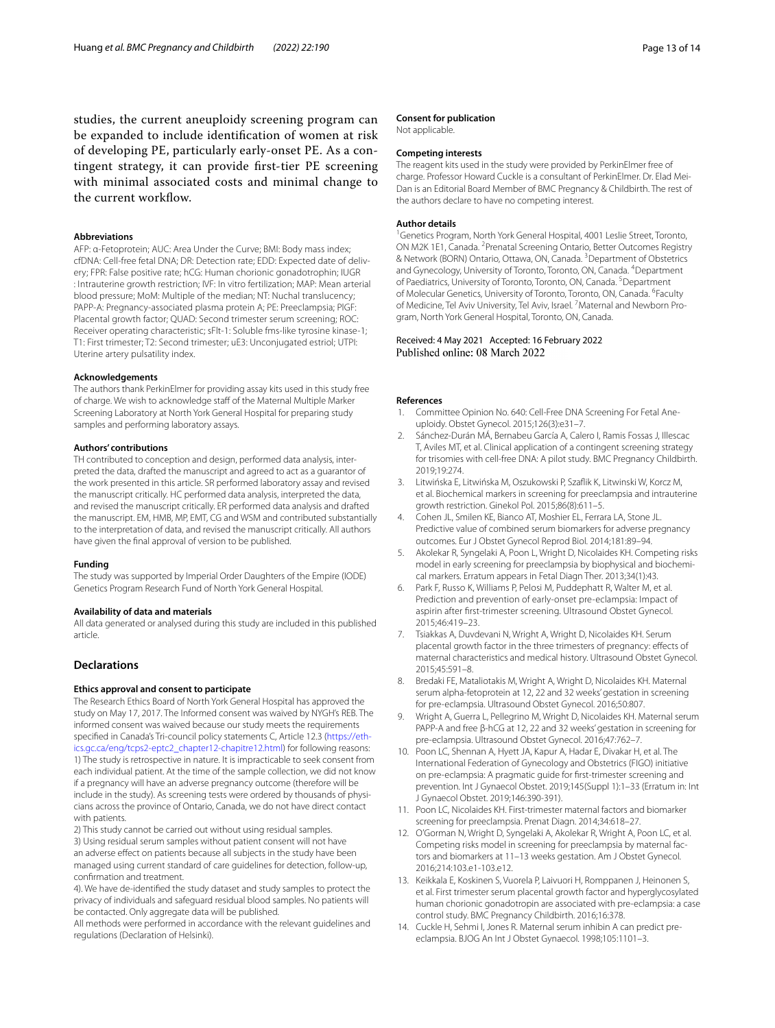studies, the current aneuploidy screening program can be expanded to include identifcation of women at risk of developing PE, particularly early-onset PE. As a contingent strategy, it can provide frst-tier PE screening with minimal associated costs and minimal change to the current workflow.

#### **Abbreviations**

AFP: α-Fetoprotein; AUC: Area Under the Curve; BMI: Body mass index; cfDNA: Cell-free fetal DNA; DR: Detection rate; EDD: Expected date of delivery; FPR: False positive rate; hCG: Human chorionic gonadotrophin; IUGR : Intrauterine growth restriction; IVF: In vitro fertilization; MAP: Mean arterial blood pressure; MoM: Multiple of the median; NT: Nuchal translucency; PAPP-A: Pregnancy-associated plasma protein A; PE: Preeclampsia; PlGF: Placental growth factor; QUAD: Second trimester serum screening; ROC: Receiver operating characteristic; sFlt-1: Soluble fms-like tyrosine kinase-1; T1: First trimester; T2: Second trimester; uE3: Unconjugated estriol; UTPI: Uterine artery pulsatility index.

#### **Acknowledgements**

The authors thank PerkinElmer for providing assay kits used in this study free of charge. We wish to acknowledge staff of the Maternal Multiple Marker Screening Laboratory at North York General Hospital for preparing study samples and performing laboratory assays.

#### **Authors' contributions**

TH contributed to conception and design, performed data analysis, interpreted the data, drafted the manuscript and agreed to act as a guarantor of the work presented in this article. SR performed laboratory assay and revised the manuscript critically. HC performed data analysis, interpreted the data, and revised the manuscript critically. ER performed data analysis and drafted the manuscript. EM, HMB, MP, EMT, CG and WSM and contributed substantially to the interpretation of data, and revised the manuscript critically. All authors have given the fnal approval of version to be published.

#### **Funding**

The study was supported by Imperial Order Daughters of the Empire (IODE) Genetics Program Research Fund of North York General Hospital.

#### **Availability of data and materials**

All data generated or analysed during this study are included in this published article.

#### **Declarations**

#### **Ethics approval and consent to participate**

The Research Ethics Board of North York General Hospital has approved the study on May 17, 2017. The Informed consent was waived by NYGH's REB. The informed consent was waived because our study meets the requirements specified in Canada's Tri-council policy statements C, Article 12.3 (https://eth[ics.gc.ca/eng/tcps2-eptc2\\_chapter12-chapitre12.html](https://ethics.gc.ca/eng/tcps2-eptc2_chapter12-chapitre12.html)) for following reasons: 1) The study is retrospective in nature. It is impracticable to seek consent from each individual patient. At the time of the sample collection, we did not know if a pregnancy will have an adverse pregnancy outcome (therefore will be include in the study). As screening tests were ordered by thousands of physicians across the province of Ontario, Canada, we do not have direct contact with patients.

2) This study cannot be carried out without using residual samples. 3) Using residual serum samples without patient consent will not have an adverse effect on patients because all subjects in the study have been managed using current standard of care guidelines for detection, follow-up, confrmation and treatment.

4). We have de-identifed the study dataset and study samples to protect the privacy of individuals and safeguard residual blood samples. No patients will be contacted. Only aggregate data will be published.

All methods were performed in accordance with the relevant guidelines and regulations (Declaration of Helsinki).

#### **Consent for publication**

Not applicable.

#### **Competing interests**

The reagent kits used in the study were provided by PerkinElmer free of charge. Professor Howard Cuckle is a consultant of PerkinElmer. Dr. Elad Mei-Dan is an Editorial Board Member of BMC Pregnancy & Childbirth. The rest of the authors declare to have no competing interest.

#### **Author details**

<sup>1</sup> Genetics Program, North York General Hospital, 4001 Leslie Street, Toronto, ON M2K 1E1, Canada. <sup>2</sup> Prenatal Screening Ontario, Better Outcomes Registry & Network (BORN) Ontario, Ottawa, ON, Canada. <sup>3</sup> Department of Obstetrics and Gynecology, University of Toronto, Toronto, ON, Canada. <sup>4</sup> Department of Paediatrics, University of Toronto, Toronto, ON, Canada. <sup>5</sup> Department of Molecular Genetics, University of Toronto, Toronto, ON, Canada. <sup>6</sup>Faculty of Medicine, Tel Aviv University, Tel Aviv, Israel. <sup>7</sup> Maternal and Newborn Program, North York General Hospital, Toronto, ON, Canada.

# Received: 4 May 2021 Accepted: 16 February 2022<br>Published online: 08 March 2022

#### **References**

- <span id="page-12-0"></span>1. Committee Opinion No. 640: Cell-Free DNA Screening For Fetal Aneuploidy. Obstet Gynecol. 2015;126(3):e31–7.
- <span id="page-12-1"></span>2. Sánchez-Durán MÁ, Bernabeu García A, Calero I, Ramis Fossas J, Illescac T, Aviles MT, et al. Clinical application of a contingent screening strategy for trisomies with cell-free DNA: A pilot study. BMC Pregnancy Childbirth. 2019;19:274.
- <span id="page-12-2"></span>3. Litwińska E, Litwińska M, Oszukowski P, Szafik K, Litwinski W, Korcz M, et al. Biochemical markers in screening for preeclampsia and intrauterine growth restriction. Ginekol Pol. 2015;86(8):611–5.
- <span id="page-12-3"></span>Cohen JL, Smilen KE, Bianco AT, Moshier EL, Ferrara LA, Stone JL. Predictive value of combined serum biomarkers for adverse pregnancy outcomes. Eur J Obstet Gynecol Reprod Biol. 2014;181:89–94.
- <span id="page-12-4"></span>5. Akolekar R, Syngelaki A, Poon L, Wright D, Nicolaides KH. Competing risks model in early screening for preeclampsia by biophysical and biochemical markers. Erratum appears in Fetal Diagn Ther. 2013;34(1):43.
- <span id="page-12-5"></span>6. Park F, Russo K, Williams P, Pelosi M, Puddephatt R, Walter M, et al. Prediction and prevention of early-onset pre-eclampsia: Impact of aspirin after frst-trimester screening. Ultrasound Obstet Gynecol. 2015;46:419–23.
- <span id="page-12-6"></span>7. Tsiakkas A, Duvdevani N, Wright A, Wright D, Nicolaides KH. Serum placental growth factor in the three trimesters of pregnancy: efects of maternal characteristics and medical history. Ultrasound Obstet Gynecol. 2015;45:591–8.
- <span id="page-12-12"></span>8. Bredaki FE, Mataliotakis M, Wright A, Wright D, Nicolaides KH. Maternal serum alpha-fetoprotein at 12, 22 and 32 weeks' gestation in screening for pre-eclampsia. Ultrasound Obstet Gynecol. 2016;50:807.
- <span id="page-12-7"></span>9. Wright A, Guerra L, Pellegrino M, Wright D, Nicolaides KH. Maternal serum PAPP-A and free β-hCG at 12, 22 and 32 weeks' gestation in screening for pre-eclampsia. Ultrasound Obstet Gynecol. 2016;47:762–7.
- <span id="page-12-8"></span>10. Poon LC, Shennan A, Hyett JA, Kapur A, Hadar E, Divakar H, et al. The International Federation of Gynecology and Obstetrics (FIGO) initiative on pre-eclampsia: A pragmatic guide for frst-trimester screening and prevention. Int J Gynaecol Obstet. 2019;145(Suppl 1):1–33 (Erratum in: Int J Gynaecol Obstet. 2019;146:390-391).
- <span id="page-12-9"></span>11. Poon LC, Nicolaides KH. First-trimester maternal factors and biomarker screening for preeclampsia. Prenat Diagn. 2014;34:618–27.
- <span id="page-12-10"></span>12. O'Gorman N, Wright D, Syngelaki A, Akolekar R, Wright A, Poon LC, et al. Competing risks model in screening for preeclampsia by maternal factors and biomarkers at 11–13 weeks gestation. Am J Obstet Gynecol. 2016;214:103.e1-103.e12.
- <span id="page-12-11"></span>13. Keikkala E, Koskinen S, Vuorela P, Laivuori H, Romppanen J, Heinonen S, et al. First trimester serum placental growth factor and hyperglycosylated human chorionic gonadotropin are associated with pre-eclampsia: a case control study. BMC Pregnancy Childbirth. 2016;16:378.
- <span id="page-12-13"></span>14. Cuckle H, Sehmi I, Jones R. Maternal serum inhibin A can predict preeclampsia. BJOG An Int J Obstet Gynaecol. 1998;105:1101–3.